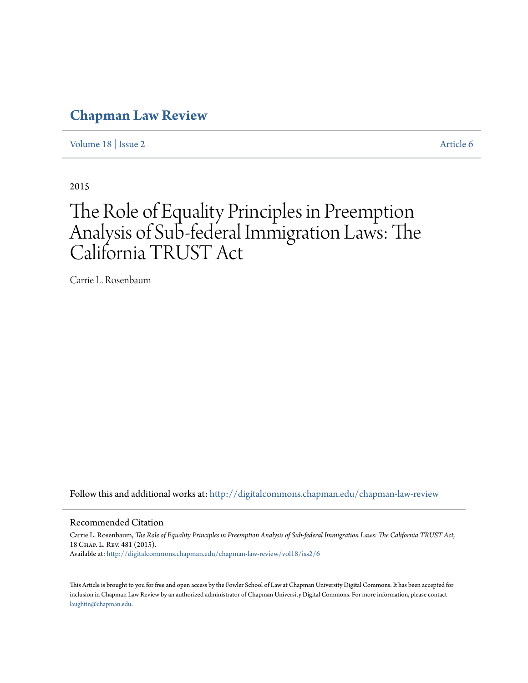## **[Chapman Law Review](http://digitalcommons.chapman.edu/chapman-law-review?utm_source=digitalcommons.chapman.edu%2Fchapman-law-review%2Fvol18%2Fiss2%2F6&utm_medium=PDF&utm_campaign=PDFCoverPages)**

[Volume 18](http://digitalcommons.chapman.edu/chapman-law-review/vol18?utm_source=digitalcommons.chapman.edu%2Fchapman-law-review%2Fvol18%2Fiss2%2F6&utm_medium=PDF&utm_campaign=PDFCoverPages) | [Issue 2](http://digitalcommons.chapman.edu/chapman-law-review/vol18/iss2?utm_source=digitalcommons.chapman.edu%2Fchapman-law-review%2Fvol18%2Fiss2%2F6&utm_medium=PDF&utm_campaign=PDFCoverPages) [Article 6](http://digitalcommons.chapman.edu/chapman-law-review/vol18/iss2/6?utm_source=digitalcommons.chapman.edu%2Fchapman-law-review%2Fvol18%2Fiss2%2F6&utm_medium=PDF&utm_campaign=PDFCoverPages)

2015

# The Role of Equality Principles in Preemption Analysis of Sub-federal Immigration Laws: The California TRUST Act

Carrie L. Rosenbaum

Follow this and additional works at: [http://digitalcommons.chapman.edu/chapman-law-review](http://digitalcommons.chapman.edu/chapman-law-review?utm_source=digitalcommons.chapman.edu%2Fchapman-law-review%2Fvol18%2Fiss2%2F6&utm_medium=PDF&utm_campaign=PDFCoverPages)

#### Recommended Citation

Carrie L. Rosenbaum, *The Role of Equality Principles in Preemption Analysis of Sub-federal Immigration Laws: The California TRUST Act*, 18 Chap. L. Rev. 481 (2015). Available at: [http://digitalcommons.chapman.edu/chapman-law-review/vol18/iss2/6](http://digitalcommons.chapman.edu/chapman-law-review/vol18/iss2/6?utm_source=digitalcommons.chapman.edu%2Fchapman-law-review%2Fvol18%2Fiss2%2F6&utm_medium=PDF&utm_campaign=PDFCoverPages)

This Article is brought to you for free and open access by the Fowler School of Law at Chapman University Digital Commons. It has been accepted for inclusion in Chapman Law Review by an authorized administrator of Chapman University Digital Commons. For more information, please contact [laughtin@chapman.edu](mailto:laughtin@chapman.edu).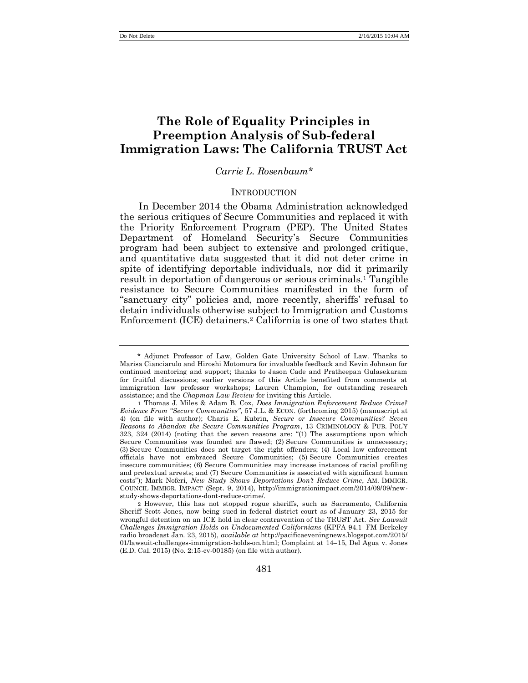### **The Role of Equality Principles in Preemption Analysis of Sub-federal Immigration Laws: The California TRUST Act**

#### *Carrie L. Rosenbaum\**

#### <span id="page-1-0"></span>INTRODUCTION

In December 2014 the Obama Administration acknowledged the serious critiques of Secure Communities and replaced it with the Priority Enforcement Program (PEP). The United States Department of Homeland Security's Secure Communities program had been subject to extensive and prolonged critique, and quantitative data suggested that it did not deter crime in spite of identifying deportable individuals, nor did it primarily result in deportation of dangerous or serious criminals.<sup>1</sup> Tangible resistance to Secure Communities manifested in the form of "sanctuary city" policies and, more recently, sheriffs' refusal to detain individuals otherwise subject to Immigration and Customs Enforcement (ICE) detainers.<sup>2</sup> California is one of two states that

<sup>\*</sup> Adjunct Professor of Law, Golden Gate University School of Law. Thanks to Marisa Cianciarulo and Hiroshi Motomura for invaluable feedback and Kevin Johnson for continued mentoring and support; thanks to Jason Cade and Pratheepan Gulasekaram for fruitful discussions; earlier versions of this Article benefited from comments at immigration law professor workshops; Lauren Champion, for outstanding research assistance; and the *Chapman Law Review* for inviting this Article.

<sup>1</sup> Thomas J. Miles & Adam B. Cox, *Does Immigration Enforcement Reduce Crime? Evidence From "Secure Communities"*, 57 J.L. & ECON. (forthcoming 2015) (manuscript at 4) (on file with author); Charis E. Kubrin, *Secure or Insecure Communities? Seven Reasons to Abandon the Secure Communities Program*, 13 CRIMINOLOGY & PUB. POL'Y 323, 324 (2014) (noting that the seven reasons are: "(1) The assumptions upon which Secure Communities was founded are flawed; (2) Secure Communities is unnecessary; (3) Secure Communities does not target the right offenders; (4) Local law enforcement officials have not embraced Secure Communities; (5) Secure Communities creates insecure communities; (6) Secure Communities may increase instances of racial profiling and pretextual arrests; and (7) Secure Communities is associated with significant human costs"); Mark Noferi, *New Study Shows Deportations Don't Reduce Crime*, AM. IMMIGR. COUNCIL IMMIGR. IMPACT (Sept. 9, 2014), http://immigrationimpact.com/2014/09/09/newstudy-shows-deportations-dont-reduce-crime/.

<sup>2</sup> However, this has not stopped rogue sheriffs, such as Sacramento, California Sheriff Scott Jones, now being sued in federal district court as of January 23, 2015 for wrongful detention on an ICE hold in clear contravention of the TRUST Act. *See Lawsuit Challenges Immigration Holds on Undocumented Californians* (KPFA 94.1–FM Berkeley radio broadcast Jan. 23, 2015), *available at* http://pacificaeveningnews.blogspot.com/2015/ 01/lawsuit-challenges-immigration-holds-on.html; Complaint at 14–15, Del Agua v. Jones (E.D. Cal. 2015) (No. 2:15-cv-00185) (on file with author).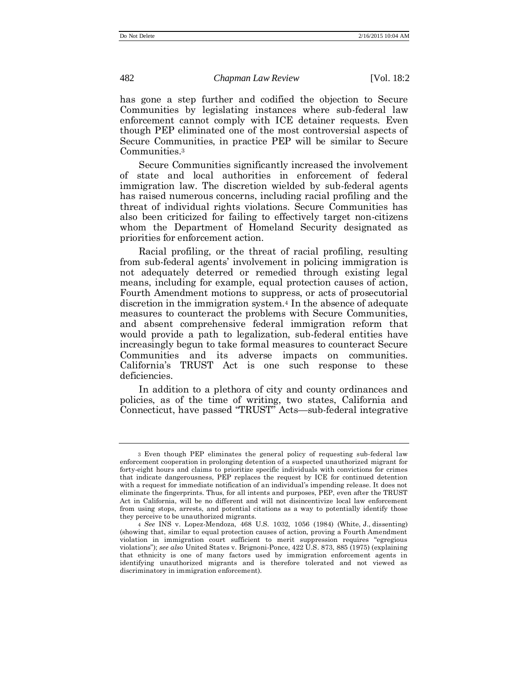has gone a step further and codified the objection to Secure Communities by legislating instances where sub-federal law enforcement cannot comply with ICE detainer requests. Even though PEP eliminated one of the most controversial aspects of Secure Communities, in practice PEP will be similar to Secure Communities.<sup>3</sup>

Secure Communities significantly increased the involvement of state and local authorities in enforcement of federal immigration law. The discretion wielded by sub-federal agents has raised numerous concerns, including racial profiling and the threat of individual rights violations. Secure Communities has also been criticized for failing to effectively target non-citizens whom the Department of Homeland Security designated as priorities for enforcement action.

Racial profiling, or the threat of racial profiling, resulting from sub-federal agents' involvement in policing immigration is not adequately deterred or remedied through existing legal means, including for example, equal protection causes of action, Fourth Amendment motions to suppress, or acts of prosecutorial discretion in the immigration system.<sup>4</sup> In the absence of adequate measures to counteract the problems with Secure Communities, and absent comprehensive federal immigration reform that would provide a path to legalization, sub-federal entities have increasingly begun to take formal measures to counteract Secure Communities and its adverse impacts on communities. California's TRUST Act is one such response to these deficiencies.

In addition to a plethora of city and county ordinances and policies, as of the time of writing, two states, California and Connecticut, have passed "TRUST" Acts—sub-federal integrative

<sup>3</sup> Even though PEP eliminates the general policy of requesting sub-federal law enforcement cooperation in prolonging detention of a suspected unauthorized migrant for forty-eight hours and claims to prioritize specific individuals with convictions for crimes that indicate dangerousness, PEP replaces the request by ICE for continued detention with a request for immediate notification of an individual's impending release. It does not eliminate the fingerprints. Thus, for all intents and purposes, PEP, even after the TRUST Act in California, will be no different and will not disincentivize local law enforcement from using stops, arrests, and potential citations as a way to potentially identify those they perceive to be unauthorized migrants.

<sup>4</sup> *See* INS v. Lopez-Mendoza, 468 U.S. 1032, 1056 (1984) (White, J., dissenting) (showing that, similar to equal protection causes of action, proving a Fourth Amendment violation in immigration court sufficient to merit suppression requires "egregious violations"); *see also* United States v. Brignoni-Ponce, 422 U.S. 873, 885 (1975) (explaining that ethnicity is one of many factors used by immigration enforcement agents in identifying unauthorized migrants and is therefore tolerated and not viewed as discriminatory in immigration enforcement).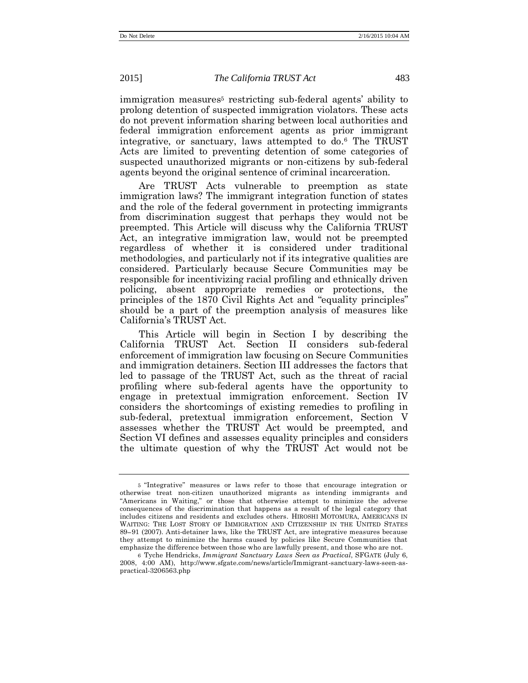immigration measures<sup>5</sup> restricting sub-federal agents' ability to prolong detention of suspected immigration violators. These acts do not prevent information sharing between local authorities and federal immigration enforcement agents as prior immigrant integrative, or sanctuary, laws attempted to do.<sup>6</sup> The TRUST Acts are limited to preventing detention of some categories of suspected unauthorized migrants or non-citizens by sub-federal agents beyond the original sentence of criminal incarceration.

Are TRUST Acts vulnerable to preemption as state immigration laws? The immigrant integration function of states and the role of the federal government in protecting immigrants from discrimination suggest that perhaps they would not be preempted. This Article will discuss why the California TRUST Act, an integrative immigration law, would not be preempted regardless of whether it is considered under traditional methodologies, and particularly not if its integrative qualities are considered. Particularly because Secure Communities may be responsible for incentivizing racial profiling and ethnically driven policing, absent appropriate remedies or protections, the principles of the 1870 Civil Rights Act and "equality principles" should be a part of the preemption analysis of measures like California's TRUST Act.

This Article will begin in Section I by describing the California TRUST Act. Section II considers sub-federal enforcement of immigration law focusing on Secure Communities and immigration detainers. Section III addresses the factors that led to passage of the TRUST Act, such as the threat of racial profiling where sub-federal agents have the opportunity to engage in pretextual immigration enforcement. Section IV considers the shortcomings of existing remedies to profiling in sub-federal, pretextual immigration enforcement, Section V assesses whether the TRUST Act would be preempted, and Section VI defines and assesses equality principles and considers the ultimate question of why the TRUST Act would not be

<sup>5</sup> "Integrative" measures or laws refer to those that encourage integration or otherwise treat non-citizen unauthorized migrants as intending immigrants and "Americans in Waiting," or those that otherwise attempt to minimize the adverse consequences of the discrimination that happens as a result of the legal category that includes citizens and residents and excludes others. HIROSHI MOTOMURA, AMERICANS IN WAITING: THE LOST STORY OF IMMIGRATION AND CITIZENSHIP IN THE UNITED STATES 89−91 (2007). Anti-detainer laws, like the TRUST Act, are integrative measures because they attempt to minimize the harms caused by policies like Secure Communities that emphasize the difference between those who are lawfully present, and those who are not.

<sup>6</sup> Tyche Hendricks, *Immigrant Sanctuary Laws Seen as Practical*, SFGATE (July 6, 2008, 4:00 AM), http://www.sfgate.com/news/article/Immigrant-sanctuary-laws-seen-aspractical-3206563.php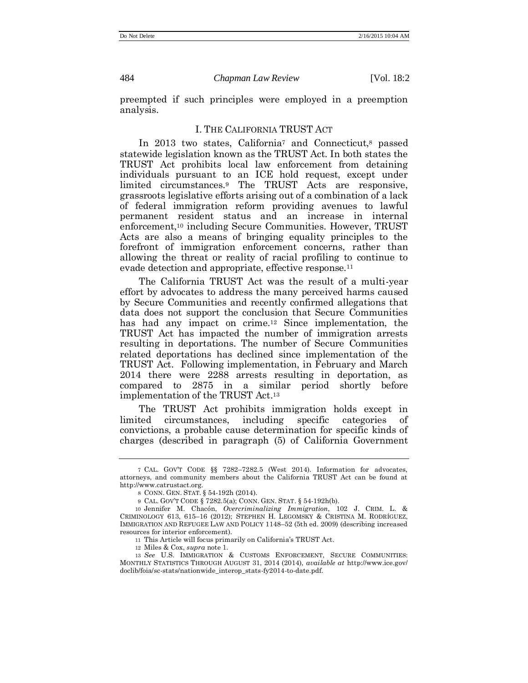preempted if such principles were employed in a preemption analysis.

#### I. THE CALIFORNIA TRUST ACT

In 2013 two states, California<sup>7</sup> and Connecticut,<sup>8</sup> passed statewide legislation known as the TRUST Act. In both states the TRUST Act prohibits local law enforcement from detaining individuals pursuant to an ICE hold request, except under limited circumstances.<sup>9</sup> The TRUST Acts are responsive, grassroots legislative efforts arising out of a combination of a lack of federal immigration reform providing avenues to lawful permanent resident status and an increase in internal enforcement,<sup>10</sup> including Secure Communities. However, TRUST Acts are also a means of bringing equality principles to the forefront of immigration enforcement concerns, rather than allowing the threat or reality of racial profiling to continue to evade detection and appropriate, effective response.<sup>11</sup>

<span id="page-4-1"></span>The California TRUST Act was the result of a multi-year effort by advocates to address the many perceived harms caused by Secure Communities and recently confirmed allegations that data does not support the conclusion that Secure Communities has had any impact on crime.<sup>12</sup> Since implementation, the TRUST Act has impacted the number of immigration arrests resulting in deportations. The number of Secure Communities related deportations has declined since implementation of the TRUST Act. Following implementation, in February and March 2014 there were 2288 arrests resulting in deportation, as compared to 2875 in a similar period shortly before implementation of the TRUST Act. 13

<span id="page-4-0"></span>The TRUST Act prohibits immigration holds except in limited circumstances, including specific categories of convictions, a probable cause determination for specific kinds of charges (described in paragraph (5) of California Government

<sup>7</sup> CAL. GOV'T CODE §§ 7282–7282.5 (West 2014). Information for advocates, attorneys, and community members about the California TRUST Act can be found at http://www.catrustact.org.

<sup>8</sup> CONN. GEN. STAT. § 54-192h (2014).

<sup>9</sup> CAL. GOV'T CODE § 7282.5(a); CONN. GEN. STAT. § 54-192h(b).

<sup>10</sup> Jennifer M. Chacón, *Overcriminalizing Immigration*, 102 J. CRIM. L. & CRIMINOLOGY 613, 615–16 (2012); STEPHEN H. LEGOMSKY & CRISTINA M. RODRÍGUEZ, IMMIGRATION AND REFUGEE LAW AND POLICY 1148–52 (5th ed. 2009) (describing increased resources for interior enforcement).

<sup>11</sup> This Article will focus primarily on California's TRUST Act.

<sup>12</sup> Miles & Cox, *supra* not[e 1.](#page-1-0)

<sup>13</sup> *See* U.S. IMMIGRATION & CUSTOMS ENFORCEMENT, SECURE COMMUNITIES: MONTHLY STATISTICS THROUGH AUGUST 31, 2014 (2014), *available at* http://www.ice.gov/ doclib/foia/sc-stats/nationwide\_interop\_stats-fy2014-to-date.pdf.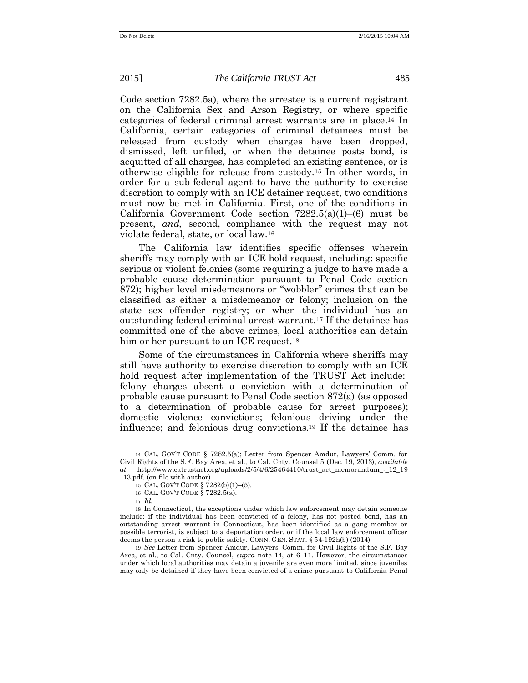Code section 7282.5a), where the arrestee is a current registrant on the California Sex and Arson Registry, or where specific categories of federal criminal arrest warrants are in place. <sup>14</sup> In California, certain categories of criminal detainees must be released from custody when charges have been dropped, dismissed, left unfiled, or when the detainee posts bond, is acquitted of all charges, has completed an existing sentence, or is otherwise eligible for release from custody.<sup>15</sup> In other words, in order for a sub-federal agent to have the authority to exercise discretion to comply with an ICE detainer request, two conditions must now be met in California. First, one of the conditions in California Government Code section 7282.5(a)(1)–(6) must be present, *and,* second, compliance with the request may not violate federal, state, or local law.<sup>16</sup>

The California law identifies specific offenses wherein sheriffs may comply with an ICE hold request, including: specific serious or violent felonies (some requiring a judge to have made a probable cause determination pursuant to Penal Code section 872); higher level misdemeanors or "wobbler" crimes that can be classified as either a misdemeanor or felony; inclusion on the state sex offender registry; or when the individual has an outstanding federal criminal arrest warrant.<sup>17</sup> If the detainee has committed one of the above crimes, local authorities can detain him or her pursuant to an ICE request.<sup>18</sup>

Some of the circumstances in California where sheriffs may still have authority to exercise discretion to comply with an ICE hold request after implementation of the TRUST Act include: felony charges absent a conviction with a determination of probable cause pursuant to Penal Code section 872(a) (as opposed to a determination of probable cause for arrest purposes); domestic violence convictions; felonious driving under the influence; and felonious drug convictions.<sup>19</sup> If the detainee has

19 *See* Letter from Spencer Amdur, Lawyers' Comm. for Civil Rights of the S.F. Bay Area, et al., to Cal. Cnty. Counsel, *supra* note [14,](#page-5-0) at 6–11. However, the circumstances under which local authorities may detain a juvenile are even more limited, since juveniles may only be detained if they have been convicted of a crime pursuant to California Penal

<span id="page-5-0"></span>

<sup>14</sup> CAL. GOV'T CODE § 7282.5(a); Letter from Spencer Amdur, Lawyers' Comm. for Civil Rights of the S.F. Bay Area, et al., to Cal. Cnty. Counsel 5 (Dec. 19, 2013), *available at* http://www.catrustact.org/uploads/2/5/4/6/25464410/trust\_act\_memorandum\_-\_12\_19 \_13.pdf. (on file with author)

<sup>15</sup> CAL. GOV'T CODE § 7282(b)(1)–(5).

<sup>16</sup> CAL. GOV'T CODE § 7282.5(a).

<sup>17</sup> *Id.* 

<sup>18</sup> In Connecticut, the exceptions under which law enforcement may detain someone include: if the individual has been convicted of a felony, has not posted bond, has an outstanding arrest warrant in Connecticut, has been identified as a gang member or possible terrorist, is subject to a deportation order, or if the local law enforcement officer deems the person a risk to public safety. CONN. GEN. STAT. § 54-192h(b) (2014).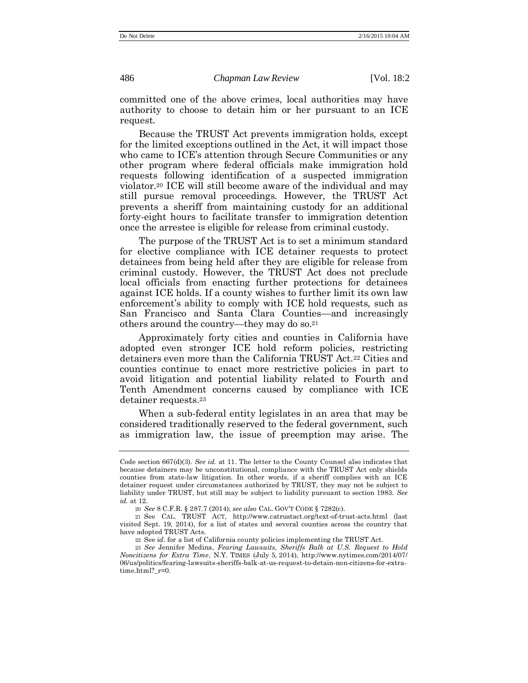committed one of the above crimes, local authorities may have authority to choose to detain him or her pursuant to an ICE request.

Because the TRUST Act prevents immigration holds, except for the limited exceptions outlined in the Act, it will impact those who came to ICE's attention through Secure Communities or any other program where federal officials make immigration hold requests following identification of a suspected immigration violator.<sup>20</sup> ICE will still become aware of the individual and may still pursue removal proceedings. However, the TRUST Act prevents a sheriff from maintaining custody for an additional forty-eight hours to facilitate transfer to immigration detention once the arrestee is eligible for release from criminal custody.

The purpose of the TRUST Act is to set a minimum standard for elective compliance with ICE detainer requests to protect detainees from being held after they are eligible for release from criminal custody. However, the TRUST Act does not preclude local officials from enacting further protections for detainees against ICE holds. If a county wishes to further limit its own law enforcement's ability to comply with ICE hold requests, such as San Francisco and Santa Clara Counties—and increasingly others around the country—they may do so.<sup>21</sup>

Approximately forty cities and counties in California have adopted even stronger ICE hold reform policies, restricting detainers even more than the California TRUST Act.<sup>22</sup> Cities and counties continue to enact more restrictive policies in part to avoid litigation and potential liability related to Fourth and Tenth Amendment concerns caused by compliance with ICE detainer requests. 23

<span id="page-6-0"></span>When a sub-federal entity legislates in an area that may be considered traditionally reserved to the federal government, such as immigration law, the issue of preemption may arise. The

Code section 667(d)(3). *See id.* at 11. The letter to the County Counsel also indicates that because detainers may be unconstitutional, compliance with the TRUST Act only shields counties from state-law litigation. In other words, if a sheriff complies with an ICE detainer request under circumstances authorized by TRUST, they may not be subject to liability under TRUST, but still may be subject to liability pursuant to section 1983. *See id.* at 12.

<sup>20</sup> *See* 8 C.F.R. § 287.7 (2014); *see also* CAL. GOV'T CODE § 7282(c).

<sup>21</sup> See CAL. TRUST ACT, http://www.catrustact.org/text-of-trust-acts.html (last visited Sept. 19, 2014), for a list of states and several counties across the country that have adopted TRUST Acts.

<sup>22</sup> See *id.* for a list of California county policies implementing the TRUST Act.

<sup>23</sup> *See* Jennifer Medina, *Fearing Lawsuits, Sheriffs Balk at U.S. Request to Hold Noncitizens for Extra Time*, N.Y. TIMES (July 5, 2014), http://www.nytimes.com/2014/07/ 06/us/politics/fearing-lawsuits-sheriffs-balk-at-us-request-to-detain-non-citizens-for-extratime.html?\_r=0.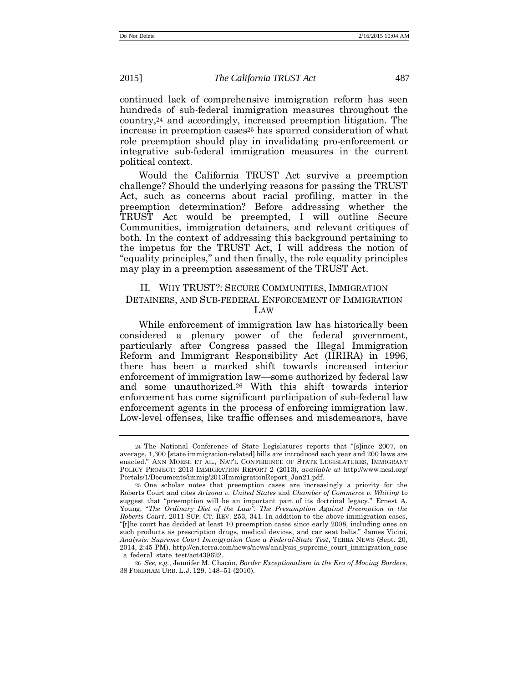continued lack of comprehensive immigration reform has seen hundreds of sub-federal immigration measures throughout the country,<sup>24</sup> and accordingly, increased preemption litigation. The increase in preemption cases<sup>25</sup> has spurred consideration of what role preemption should play in invalidating pro-enforcement or integrative sub-federal immigration measures in the current political context.

Would the California TRUST Act survive a preemption challenge? Should the underlying reasons for passing the TRUST Act, such as concerns about racial profiling, matter in the preemption determination? Before addressing whether the TRUST Act would be preempted, I will outline Secure Communities, immigration detainers, and relevant critiques of both. In the context of addressing this background pertaining to the impetus for the TRUST Act, I will address the notion of "equality principles," and then finally, the role equality principles may play in a preemption assessment of the TRUST Act.

#### II. WHY TRUST?: SECURE COMMUNITIES, IMMIGRATION DETAINERS, AND SUB-FEDERAL ENFORCEMENT OF IMMIGRATION LAW

<span id="page-7-0"></span>While enforcement of immigration law has historically been considered a plenary power of the federal government, particularly after Congress passed the Illegal Immigration Reform and Immigrant Responsibility Act (IIRIRA) in 1996, there has been a marked shift towards increased interior enforcement of immigration law—some authorized by federal law and some unauthorized.<sup>26</sup> With this shift towards interior enforcement has come significant participation of sub-federal law enforcement agents in the process of enforcing immigration law. Low-level offenses, like traffic offenses and misdemeanors, have

<sup>24</sup> The National Conference of State Legislatures reports that "[s]ince 2007, on average, 1,300 [state immigration-related] bills are introduced each year and 200 laws are enacted." ANN MORSE ET AL., NAT'L CONFERENCE OF STATE LEGISLATURES, IMMIGRANT POLICY PROJECT: 2013 IMMIGRATION REPORT 2 (2013), *available at* http://www.ncsl.org/ Portals/1/Documents/immig/2013ImmigrationReport\_Jan21.pdf.

<sup>25</sup> One scholar notes that preemption cases are increasingly a priority for the Roberts Court and cites *Arizona v. United States* and *Chamber of Commerce v. Whiting* to suggest that "preemption will be an important part of its doctrinal legacy." Ernest A. Young, "*The Ordinary Diet of the Law": The Presumption Against Preemption in the Roberts Court*, 2011 SUP. CT. REV. 253, 341. In addition to the above immigration cases, "[t]he court has decided at least 10 preemption cases since early 2008, including ones on such products as prescription drugs, medical devices, and car seat belts." James Vicini, *Analysis: Supreme Court Immigration Case a Federal-State Test*, TERRA NEWS (Sept. 20, 2014, 2:45 PM), http://en.terra.com/news/news/analysis\_supreme\_court\_immigration\_case \_a\_federal\_state\_test/act439622.

<sup>26</sup> *See, e.g.*, Jennifer M. Chacón, *Border Exceptionalism in the Era of Moving Borders*, 38 FORDHAM URB. L.J. 129, 148–51 (2010).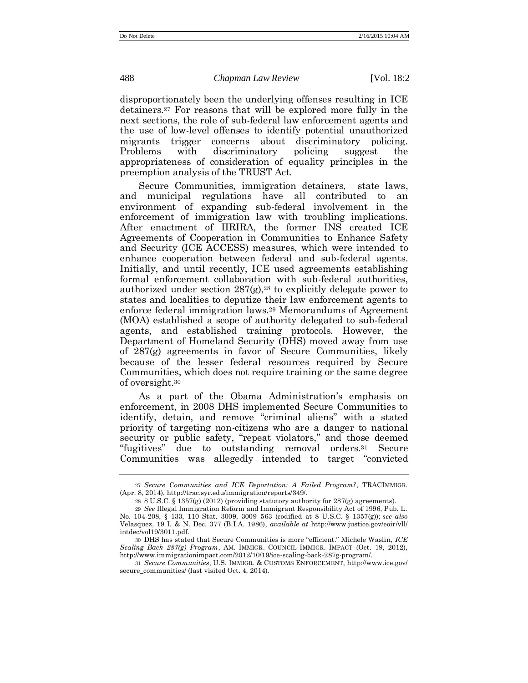disproportionately been the underlying offenses resulting in ICE detainers.<sup>27</sup> For reasons that will be explored more fully in the next sections, the role of sub-federal law enforcement agents and the use of low-level offenses to identify potential unauthorized migrants trigger concerns about discriminatory policing. Problems with discriminatory policing suggest the appropriateness of consideration of equality principles in the preemption analysis of the TRUST Act.

Secure Communities, immigration detainers, state laws, and municipal regulations have all contributed to an environment of expanding sub-federal involvement in the enforcement of immigration law with troubling implications. After enactment of IIRIRA, the former INS created ICE Agreements of Cooperation in Communities to Enhance Safety and Security (ICE ACCESS) measures, which were intended to enhance cooperation between federal and sub-federal agents. Initially, and until recently, ICE used agreements establishing formal enforcement collaboration with sub-federal authorities, authorized under section  $287(g)$ ,<sup>28</sup> to explicitly delegate power to states and localities to deputize their law enforcement agents to enforce federal immigration laws.<sup>29</sup> Memorandums of Agreement (MOA) established a scope of authority delegated to sub-federal agents, and established training protocols. However, the Department of Homeland Security (DHS) moved away from use of 287(g) agreements in favor of Secure Communities, likely because of the lesser federal resources required by Secure Communities, which does not require training or the same degree of oversight.<sup>30</sup>

As a part of the Obama Administration's emphasis on enforcement, in 2008 DHS implemented Secure Communities to identify, detain, and remove "criminal aliens" with a stated priority of targeting non-citizens who are a danger to national security or public safety, "repeat violators," and those deemed "fugitives" due to outstanding removal orders.<sup>31</sup> Secure Communities was allegedly intended to target "convicted

<sup>27</sup> *Secure Communities and ICE Deportation: A Failed Program?*, TRACIMMIGR. (Apr. 8, 2014), http://trac.syr.edu/immigration/reports/349/.

<span id="page-8-0"></span><sup>28 8</sup> U.S.C. § 1357(g) (2012) (providing statutory authority for  $287(g)$  agreements).

<sup>29</sup> *See* Illegal Immigration Reform and Immigrant Responsibility Act of 1996, Pub. L. No. 104-208, § 133, 110 Stat. 3009, 3009–563 (codified at 8 U.S.C. § 1357(g)); *see also*  Velasquez, 19 I. & N. Dec. 377 (B.I.A. 1986), *available at* http://www.justice.gov/eoir/vll/ intdec/vol19/3011.pdf.

<sup>30</sup> DHS has stated that Secure Communities is more "efficient." Michele Waslin, *ICE Scaling Back 287(g) Program*, AM. IMMIGR. COUNCIL IMMIGR. IMPACT (Oct. 19, 2012), http://www.immigrationimpact.com/2012/10/19/ice-scaling-back-287g-program/.

<sup>31</sup> *Secure Communities*, U.S. IMMIGR. & CUSTOMS ENFORCEMENT, http://www.ice.gov/ secure\_communities/ (last visited Oct. 4, 2014).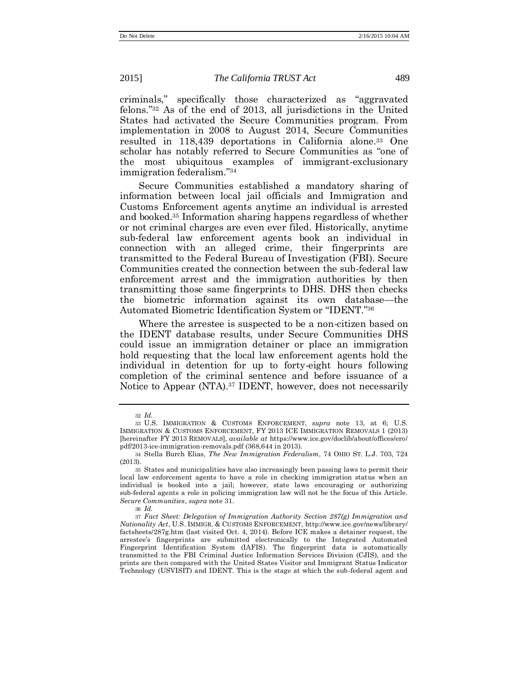criminals," specifically those characterized as "aggravated felons." <sup>32</sup> As of the end of 2013, all jurisdictions in the United States had activated the Secure Communities program. From implementation in 2008 to August 2014, Secure Communities resulted in 118,439 deportations in California alone. <sup>33</sup> One scholar has notably referred to Secure Communities as "one of the most ubiquitous examples of immigrant-exclusionary immigration federalism." 34

<span id="page-9-2"></span>Secure Communities established a mandatory sharing of information between local jail officials and Immigration and Customs Enforcement agents anytime an individual is arrested and booked.<sup>35</sup> Information sharing happens regardless of whether or not criminal charges are even ever filed. Historically, anytime sub-federal law enforcement agents book an individual in connection with an alleged crime, their fingerprints are transmitted to the Federal Bureau of Investigation (FBI). Secure Communities created the connection between the sub-federal law enforcement arrest and the immigration authorities by then transmitting those same fingerprints to DHS. DHS then checks the biometric information against its own database—the Automated Biometric Identification System or "IDENT." 36

Where the arrestee is suspected to be a non-citizen based on the IDENT database results, under Secure Communities DHS could issue an immigration detainer or place an immigration hold requesting that the local law enforcement agents hold the individual in detention for up to forty-eight hours following completion of the criminal sentence and before issuance of a Notice to Appear (NTA).<sup>37</sup> IDENT, however, does not necessarily

<span id="page-9-1"></span>

<span id="page-9-0"></span><sup>32</sup> *Id.*

<sup>33</sup> U.S. IMMIGRATION & CUSTOMS ENFORCEMENT, *supra* note [13,](#page-4-0) at 6; U.S. IMMIGRATION & CUSTOMS ENFORCEMENT, FY 2013 ICE IMMIGRATION REMOVALS 1 (2013) [hereinafter FY 2013 REMOVALS], *available at* https://www.ice.gov/doclib/about/offices/ero/ pdf/2013-ice-immigration-removals.pdf (368,644 in 2013).

<sup>34</sup> Stella Burch Elias, *The New Immigration Federalism*, 74 OHIO ST. L.J. 703, 724 (2013).

<sup>35</sup> States and municipalities have also increasingly been passing laws to permit their local law enforcement agents to have a role in checking immigration status when an individual is booked into a jail; however, state laws encouraging or authorizing sub-federal agents a role in policing immigration law will not be the focus of this Article. *Secure Communities*, *supra* not[e 31.](#page-8-0)

<sup>36</sup> *Id.*

<sup>37</sup> *Fact Sheet: Delegation of Immigration Authority Section 287(g) Immigration and Nationality Act*, U.S. IMMIGR. & CUSTOMS ENFORCEMENT, http://www.ice.gov/news/library/ factsheets/287g.htm (last visited Oct. 4, 2014). Before ICE makes a detainer request, the arrestee's fingerprints are submitted electronically to the Integrated Automated Fingerprint Identification System (IAFIS). The fingerprint data is automatically transmitted to the FBI Criminal Justice Information Services Division (CJIS), and the prints are then compared with the United States Visitor and Immigrant Status Indicator Technology (USVISIT) and IDENT. This is the stage at which the sub-federal agent and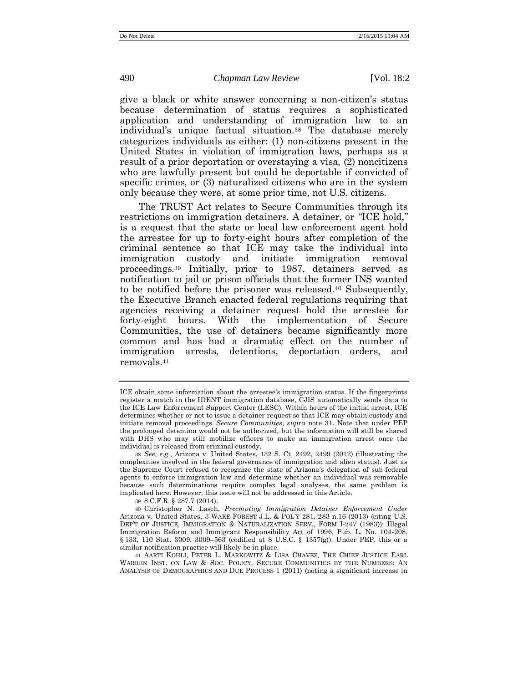give a black or white answer concerning a non-citizen's status because determination of status requires a sophisticated application and understanding of immigration law to an individual's unique factual situation.<sup>38</sup> The database merely categorizes individuals as either: (1) non-citizens present in the United States in violation of immigration laws, perhaps as a result of a prior deportation or overstaying a visa, (2) noncitizens who are lawfully present but could be deportable if convicted of specific crimes, or (3) naturalized citizens who are in the system only because they were, at some prior time, not U.S. citizens.

<span id="page-10-0"></span>The TRUST Act relates to Secure Communities through its restrictions on immigration detainers. A detainer, or "ICE hold," is a request that the state or local law enforcement agent hold the arrestee for up to forty-eight hours after completion of the criminal sentence so that ICE may take the individual into immigration custody and initiate immigration removal proceedings.<sup>39</sup> Initially, prior to 1987, detainers served as notification to jail or prison officials that the former INS wanted to be notified before the prisoner was released.<sup>40</sup> Subsequently, the Executive Branch enacted federal regulations requiring that agencies receiving a detainer request hold the arrestee for forty-eight hours. With the implementation of Secure Communities, the use of detainers became significantly more common and has had a dramatic effect on the number of immigration arrests, detentions, deportation orders, and removals.<sup>41</sup>

39 8 C.F.R. § 287.7 (2014).

<span id="page-10-1"></span>ICE obtain some information about the arrestee's immigration status. If the fingerprints register a match in the IDENT immigration database, CJIS automatically sends data to the ICE Law Enforcement Support Center (LESC). Within hours of the initial arrest, ICE determines whether or not to issue a detainer request so that ICE may obtain custody and initiate removal proceedings. *Secure Communities*, *supra* note [31.](#page-8-0) Note that under PEP the prolonged detention would not be authorized, but the information will still be shared with DHS who may still mobilize officers to make an immigration arrest once the individual is released from criminal custody.

<sup>38</sup> *See, e.g.*, Arizona v. United States, 132 S. Ct. 2492, 2499 (2012) (illustrating the complexities involved in the federal governance of immigration and alien status). Just as the Supreme Court refused to recognize the state of Arizona's delegation of sub-federal agents to enforce immigration law and determine whether an individual was removable because such determinations require complex legal analyses, the same problem is implicated here. However, this issue will not be addressed in this Article.

<sup>40</sup> Christopher N. Lasch, *Preempting Immigration Detainer Enforcement Under*  Arizona v. United States, 3 WAKE FOREST J.L. & POL'Y 281, 283 n.16 (2013) (citing U.S. DEP'T OF JUSTICE, IMMIGRATION & NATURALIZATION SERV., FORM I-247 (1983)); Illegal Immigration Reform and Immigrant Responsibility Act of 1996, Pub. L. No. 104-208, § 133, 110 Stat. 3009, 3009–563 (codified at 8 U.S.C. § 1357(g)). Under PEP, this or a similar notification practice will likely be in place.

<sup>41</sup> AARTI KOHLI, PETER L. MARKOWITZ & LISA CHAVEZ, THE CHIEF JUSTICE EARL WARREN INST. ON LAW & SOC. POLICY, SECURE COMMUNITIES BY THE NUMBERS: AN ANALYSIS OF DEMOGRAPHICS AND DUE PROCESS 1 (2011) (noting a significant increase in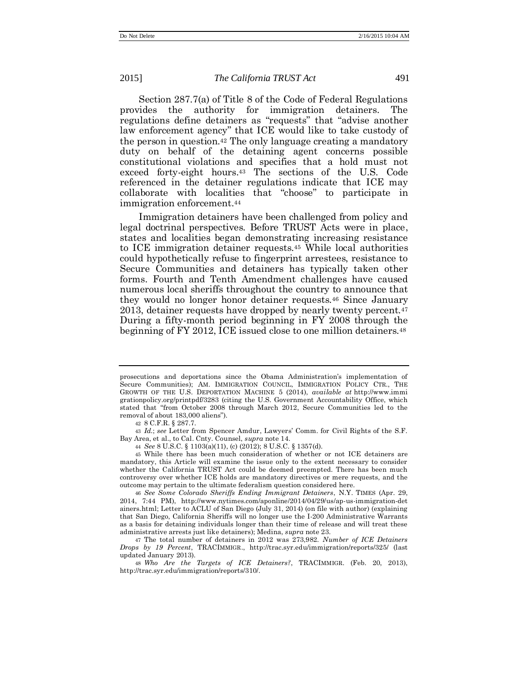Section 287.7(a) of Title 8 of the Code of Federal Regulations provides the authority for immigration detainers. The regulations define detainers as "requests" that "advise another law enforcement agency" that ICE would like to take custody of the person in question.<sup>42</sup> The only language creating a mandatory duty on behalf of the detaining agent concerns possible constitutional violations and specifies that a hold must not exceed forty-eight hours.<sup>43</sup> The sections of the U.S. Code referenced in the detainer regulations indicate that ICE may collaborate with localities that "choose" to participate in immigration enforcement.<sup>44</sup>

Immigration detainers have been challenged from policy and legal doctrinal perspectives. Before TRUST Acts were in place, states and localities began demonstrating increasing resistance to ICE immigration detainer requests.<sup>45</sup> While local authorities could hypothetically refuse to fingerprint arrestees, resistance to Secure Communities and detainers has typically taken other forms. Fourth and Tenth Amendment challenges have caused numerous local sheriffs throughout the country to announce that they would no longer honor detainer requests.<sup>46</sup> Since January 2013, detainer requests have dropped by nearly twenty percent.<sup>47</sup> During a fifty-month period beginning in FY 2008 through the beginning of FY 2012, ICE issued close to one million detainers.<sup>48</sup>

<span id="page-11-0"></span>

prosecutions and deportations since the Obama Administration's implementation of Secure Communities); AM. IMMIGRATION COUNCIL, IMMIGRATION POLICY CTR., THE GROWTH OF THE U.S. DEPORTATION MACHINE 5 (2014), *available at* http://www.immi grationpolicy.org/printpdf/3283 (citing the U.S. Government Accountability Office, which stated that "from October 2008 through March 2012, Secure Communities led to the removal of about 183,000 aliens").

<sup>42</sup> 8 C.F.R. § 287.7.

<sup>43</sup> *Id.*; *see* Letter from Spencer Amdur, Lawyers' Comm. for Civil Rights of the S.F. Bay Area, et al., to Cal. Cnty. Counsel, *supra* note [14.](#page-5-0)

<sup>44</sup> *See* 8 U.S.C. § 1103(a)(11), (c) (2012); 8 U.S.C. § 1357(d).

<sup>45</sup> While there has been much consideration of whether or not ICE detainers are mandatory, this Article will examine the issue only to the extent necessary to consider whether the California TRUST Act could be deemed preempted. There has been much controversy over whether ICE holds are mandatory directives or mere requests, and the outcome may pertain to the ultimate federalism question considered here.

<sup>46</sup> *See Some Colorado Sheriffs Ending Immigrant Detainers*, N.Y. TIMES (Apr. 29, 2014, 7:44 PM), http://www.nytimes.com/aponline/2014/04/29/us/ap-us-immigration[-det](http://www.nytimes.com/aponline/2014/04/29/us/ap-us-immigration-detainers.html) [ainers.html;](http://www.nytimes.com/aponline/2014/04/29/us/ap-us-immigration-detainers.html) Letter to ACLU of San Diego (July 31, 2014) (on file with author) (explaining that San Diego, California Sheriffs will no longer use the I-200 Administrative Warrants as a basis for detaining individuals longer than their time of release and will treat these administrative arrests just like detainers); Medina, *supra* not[e 23.](#page-6-0)

<sup>47</sup> The total number of detainers in 2012 was 273,982. *Number of ICE Detainers Drops by 19 Percent*, TRACIMMIGR., http://trac.syr.edu/immigration/reports/325/ (last updated January 2013).

<sup>48</sup> *Who Are the Targets of ICE Detainers?*, TRACIMMIGR. (Feb. 20, 2013), http://trac.syr.edu/immigration/reports/310/.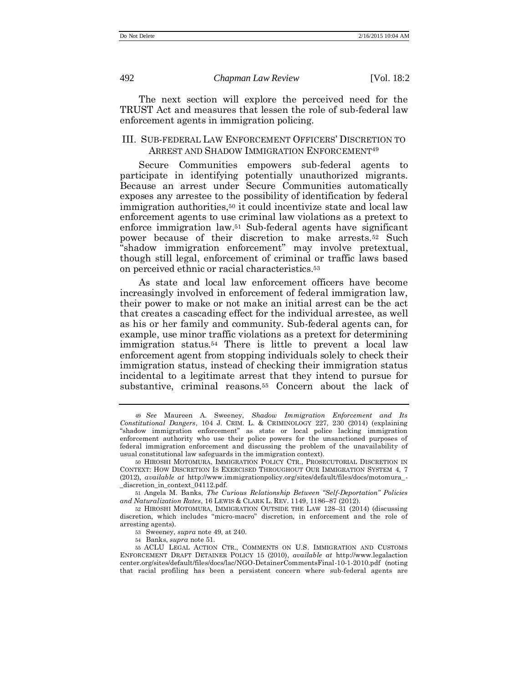<span id="page-12-3"></span><span id="page-12-0"></span>

The next section will explore the perceived need for the TRUST Act and measures that lessen the role of sub-federal law enforcement agents in immigration policing.

#### III. SUB-FEDERAL LAW ENFORCEMENT OFFICERS' DISCRETION TO ARREST AND SHADOW IMMIGRATION ENFORCEMENT<sup>49</sup>

<span id="page-12-2"></span>Secure Communities empowers sub-federal agents to participate in identifying potentially unauthorized migrants. Because an arrest under Secure Communities automatically exposes any arrestee to the possibility of identification by federal immigration authorities,<sup>50</sup> it could incentivize state and local law enforcement agents to use criminal law violations as a pretext to enforce immigration law.<sup>51</sup> Sub-federal agents have significant power because of their discretion to make arrests.<sup>52</sup> Such "shadow immigration enforcement" may involve pretextual, though still legal, enforcement of criminal or traffic laws based on perceived ethnic or racial characteristics.<sup>53</sup>

<span id="page-12-1"></span>As state and local law enforcement officers have become increasingly involved in enforcement of federal immigration law, their power to make or not make an initial arrest can be the act that creates a cascading effect for the individual arrestee, as well as his or her family and community. Sub-federal agents can, for example, use minor traffic violations as a pretext for determining immigration status.<sup>54</sup> There is little to prevent a local law enforcement agent from stopping individuals solely to check their immigration status, instead of checking their immigration status incidental to a legitimate arrest that they intend to pursue for substantive, criminal reasons.<sup>55</sup> Concern about the lack of

51 Angela M. Banks, *The Curious Relationship Between "Self-Deportation" Policies and Naturalization Rates*, 16 LEWIS & CLARK L. REV. 1149, 1186–87 (2012).

<sup>49</sup> *See* Maureen A. Sweeney, *Shadow Immigration Enforcement and Its Constitutional Dangers*, 104 J. CRIM. L. & CRIMINOLOGY 227, 230 (2014) (explaining "shadow immigration enforcement" as state or local police lacking immigration enforcement authority who use their police powers for the unsanctioned purposes of federal immigration enforcement and discussing the problem of the unavailability of usual constitutional law safeguards in the immigration context).

<sup>50</sup> HIROSHI MOTOMURA, IMMIGRATION POLICY CTR., PROSECUTORIAL DISCRETION IN CONTEXT: HOW DISCRETION IS EXERCISED THROUGHOUT OUR IMMIGRATION SYSTEM 4, 7 (2012), *available at* http://www.immigrationpolicy.org/sites/default/files/docs/motomura\_- \_discretion\_in\_context\_04112.pdf.

<sup>52</sup> HIROSHI MOTOMURA, IMMIGRATION OUTSIDE THE LAW 128–31 (2014) (discussing discretion, which includes "micro-macro" discretion, in enforcement and the role of arresting agents).

<sup>53</sup> Sweeney, *supra* not[e 49,](#page-12-0) at 240.

<sup>54</sup> Banks, *supra* note [51.](#page-12-1) 

<sup>55</sup> ACLU LEGAL ACTION CTR., COMMENTS ON U.S. IMMIGRATION AND CUSTOMS ENFORCEMENT DRAFT DETAINER POLICY 15 (2010), *available at* http://www.legalaction center.org/sites/default/files/docs/lac/NGO-DetainerCommentsFinal-10-1-2010.pdf (noting that racial profiling has been a persistent concern where sub-federal agents are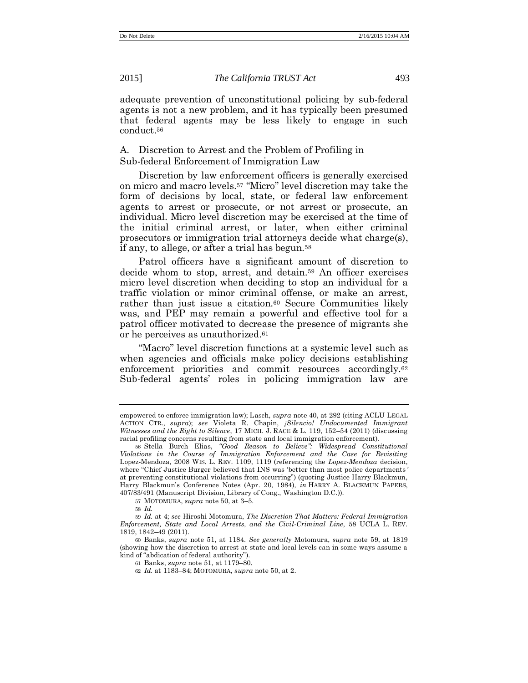adequate prevention of unconstitutional policing by sub-federal agents is not a new problem, and it has typically been presumed that federal agents may be less likely to engage in such conduct.<sup>56</sup>

#### <span id="page-13-1"></span>A. Discretion to Arrest and the Problem of Profiling in Sub-federal Enforcement of Immigration Law

Discretion by law enforcement officers is generally exercised on micro and macro levels.<sup>57</sup> "Micro" level discretion may take the form of decisions by local, state, or federal law enforcement agents to arrest or prosecute, or not arrest or prosecute, an individual. Micro level discretion may be exercised at the time of the initial criminal arrest, or later, when either criminal prosecutors or immigration trial attorneys decide what charge(s), if any, to allege, or after a trial has begun.<sup>58</sup>

<span id="page-13-0"></span>Patrol officers have a significant amount of discretion to decide whom to stop, arrest, and detain.<sup>59</sup> An officer exercises micro level discretion when deciding to stop an individual for a traffic violation or minor criminal offense, or make an arrest, rather than just issue a citation.<sup>60</sup> Secure Communities likely was, and PEP may remain a powerful and effective tool for a patrol officer motivated to decrease the presence of migrants she or he perceives as unauthorized.<sup>61</sup>

"Macro" level discretion functions at a systemic level such as when agencies and officials make policy decisions establishing enforcement priorities and commit resources accordingly.<sup>62</sup> Sub-federal agents' roles in policing immigration law are

empowered to enforce immigration law); Lasch, *supra* not[e 40,](#page-10-0) at 292 (citing ACLU LEGAL ACTION CTR., *supra*); *see* Violeta R. Chapin, *¡Silencio! Undocumented Immigrant Witnesses and the Right to Silence*, 17 MICH. J. RACE & L. 119, 152–54 (2011) (discussing racial profiling concerns resulting from state and local immigration enforcement).

<sup>56</sup> Stella Burch Elias, *"Good Reason to Believe": Widespread Constitutional Violations in the Course of Immigration Enforcement and the Case for Revisiting*  Lopez-Mendoza, 2008 WIS. L. REV. 1109, 1119 (referencing the *Lopez-Mendoza* decision, where "Chief Justice Burger believed that INS was 'better than most police departments *'* at preventing constitutional violations from occurring") (quoting Justice Harry Blackmun, Harry Blackmun's Conference Notes (Apr. 20, 1984)*, in* HARRY A. BLACKMUN PAPERS, 407/83/491 (Manuscript Division, Library of Cong., Washington D.C.)).

<sup>57</sup> MOTOMURA, *supra* note [50,](#page-12-2) at 3–5.

<sup>58</sup> *Id.*

<sup>59</sup> *Id.* at 4; *see* Hiroshi Motomura, *The Discretion That Matters: Federal Immigration Enforcement, State and Local Arrests, and the Civil-Criminal Line*, 58 UCLA L. REV*.* 1819, 1842–49 (2011).

<sup>60</sup> Banks, *supra* note [51,](#page-12-1) at 1184. *See generally* Motomura, *supra* note [59,](#page-13-0) at 1819 (showing how the discretion to arrest at state and local levels can in some ways assume a kind of "abdication of federal authority").

<sup>61</sup> Banks, *supra* not[e 51,](#page-12-1) at 1179–80.

<sup>62</sup> *Id.* at 1183–84; MOTOMURA, *supra* note [50,](#page-12-2) at 2.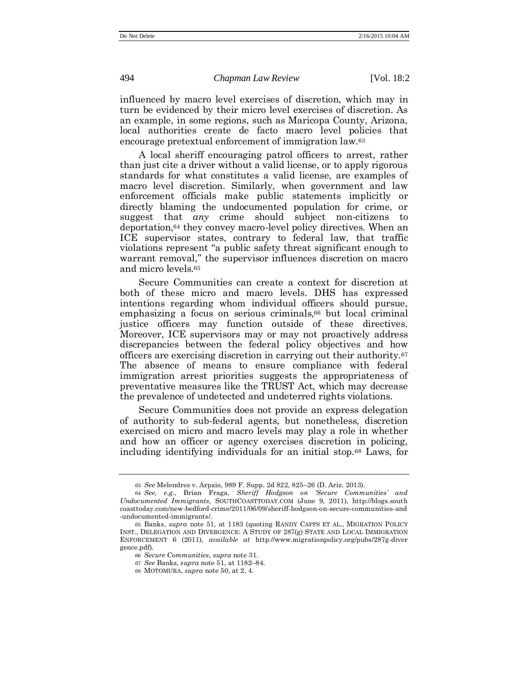influenced by macro level exercises of discretion, which may in turn be evidenced by their micro level exercises of discretion. As an example, in some regions, such as Maricopa County, Arizona, local authorities create de facto macro level policies that encourage pretextual enforcement of immigration law.<sup>63</sup>

A local sheriff encouraging patrol officers to arrest, rather than just cite a driver without a valid license, or to apply rigorous standards for what constitutes a valid license, are examples of macro level discretion. Similarly, when government and law enforcement officials make public statements implicitly or directly blaming the undocumented population for crime, or suggest that *any* crime should subject non-citizens to deportation,<sup>64</sup> they convey macro-level policy directives. When an ICE supervisor states, contrary to federal law, that traffic violations represent "a public safety threat significant enough to warrant removal," the supervisor influences discretion on macro and micro levels.<sup>65</sup>

Secure Communities can create a context for discretion at both of these micro and macro levels. DHS has expressed intentions regarding whom individual officers should pursue, emphasizing a focus on serious criminals,  $66$  but local criminal justice officers may function outside of these directives. Moreover, ICE supervisors may or may not proactively address discrepancies between the federal policy objectives and how officers are exercising discretion in carrying out their authority.<sup>67</sup> The absence of means to ensure compliance with federal immigration arrest priorities suggests the appropriateness of preventative measures like the TRUST Act, which may decrease the prevalence of undetected and undeterred rights violations.

Secure Communities does not provide an express delegation of authority to sub-federal agents, but nonetheless, discretion exercised on micro and macro levels may play a role in whether and how an officer or agency exercises discretion in policing, including identifying individuals for an initial stop.<sup>68</sup> Laws, for

<sup>63</sup> *See* Melendres v. Arpaio, 989 F. Supp. 2d 822, 825–26 (D. Ariz. 2013).

<sup>64</sup> *See, e.g.*, Brian Fraga, *Sheriff Hodgson on 'Secure Communities' and Undocumented Immigrants,* SOUTHCOASTTODAY.COM (June 9, 2011), http://blogs.south coasttoday.com/new-bedford-crime/2011/06/09/sheriff-hodgson-on-secure-communities-and -undocumented-immigrants/.

<sup>65</sup> Banks, *supra* note [51,](#page-12-1) at 1183 (quoting RANDY CAPPS ET AL., MIGRATION POLICY INST., DELEGATION AND DIVERGENCE: A STUDY OF 287(g) STATE AND LOCAL IMMIGRATION ENFORCEMENT 6 (2011), *available at* http://www.migrationpolicy.org/pubs/287g-diver gence.pdf).

<sup>66</sup> *Secure Communities*, *supra* not[e 31.](#page-8-0)

<sup>67</sup> *See* Banks, *supra* note [51,](#page-12-1) at 1182–84.

<sup>68</sup> MOTOMURA, *supra* note [50,](#page-12-2) at 2, 4.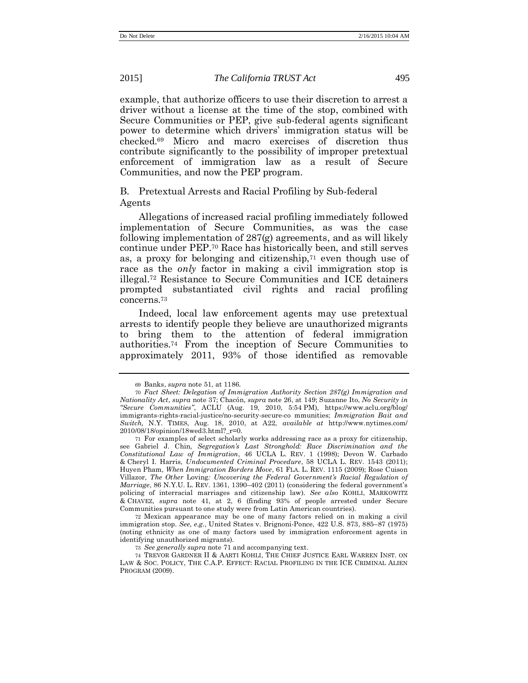example, that authorize officers to use their discretion to arrest a driver without a license at the time of the stop, combined with Secure Communities or PEP, give sub-federal agents significant power to determine which drivers' immigration status will be checked.<sup>69</sup> Micro and macro exercises of discretion thus contribute significantly to the possibility of improper pretextual enforcement of immigration law as a result of Secure Communities, and now the PEP program.

B. Pretextual Arrests and Racial Profiling by Sub-federal Agents

<span id="page-15-0"></span>Allegations of increased racial profiling immediately followed implementation of Secure Communities, as was the case following implementation of 287(g) agreements, and as will likely continue under PEP. <sup>70</sup> Race has historically been, and still serves as, a proxy for belonging and citizenship,<sup>71</sup> even though use of race as the *only* factor in making a civil immigration stop is illegal.<sup>72</sup> Resistance to Secure Communities and ICE detainers prompted substantiated civil rights and racial profiling concerns.<sup>73</sup>

Indeed, local law enforcement agents may use pretextual arrests to identify people they believe are unauthorized migrants to bring them to the attention of federal immigration authorities.<sup>74</sup> From the inception of Secure Communities to approximately 2011, 93% of those identified as removable

72 Mexican appearance may be one of many factors relied on in making a civil immigration stop. *See, e.g.*, United States v. Brignoni-Ponce, 422 U.S. 873, 885–87 (1975) (noting ethnicity as one of many factors used by immigration enforcement agents in identifying unauthorized migrants).

73 *See generally supra* note [71](#page-15-0) and accompanying text.

74 TREVOR GARDNER II & AARTI KOHLI, THE CHIEF JUSTICE EARL WARREN INST. ON LAW & SOC. POLICY, THE C.A.P. EFFECT: RACIAL PROFILING IN THE ICE CRIMINAL ALIEN PROGRAM (2009).

<sup>69</sup> Banks, *supra* not[e 51,](#page-12-1) at 1186.

<sup>70</sup> *Fact Sheet: Delegation of Immigration Authority Section 287(g) Immigration and Nationality Act*, *supra* note [37;](#page-9-0) Chacón, *supra* note [26,](#page-7-0) at 149; Suzanne Ito, *No Security in "Secure Communities"*, ACLU (Aug. 19, 2010, 5:54 PM), https://www.aclu.org/blog/ immigrants-rights-racial-justice/no-security-secure-co mmunities; *Immigration Bait and Switch,* N.Y. TIMES, Aug. 18, 2010, at A22, *available at* http://www.nytimes.com/ 2010/08/18/opinion/18wed3.html?\_r=0.

<sup>71</sup> For examples of select scholarly works addressing race as a proxy for citizenship, see Gabriel J. Chin, *Segregation's Last Stronghold: Race Discrimination and the Constitutional Law of Immigration*, 46 UCLA L. REV. 1 (1998); Devon W. Carbado & Cheryl I. Harris, *Undocumented Criminal Procedure*, 58 UCLA L. REV. 1543 (2011); Huyen Pham, *When Immigration Borders Move*, 61 FLA. L. REV. 1115 (2009); Rose Cuison Villazor, *The Other* Loving*: Uncovering the Federal Government's Racial Regulation of Marriage*, 86 N.Y.U. L. REV. 1361, 1390–402 (2011) (considering the federal government's policing of interracial marriages and citizenship law). *See also* KOHLI, MARKOWITZ & CHAVEZ, *supra* note [41,](#page-10-1) at 2, 6 (finding 93% of people arrested under Secure Communities pursuant to one study were from Latin American countries).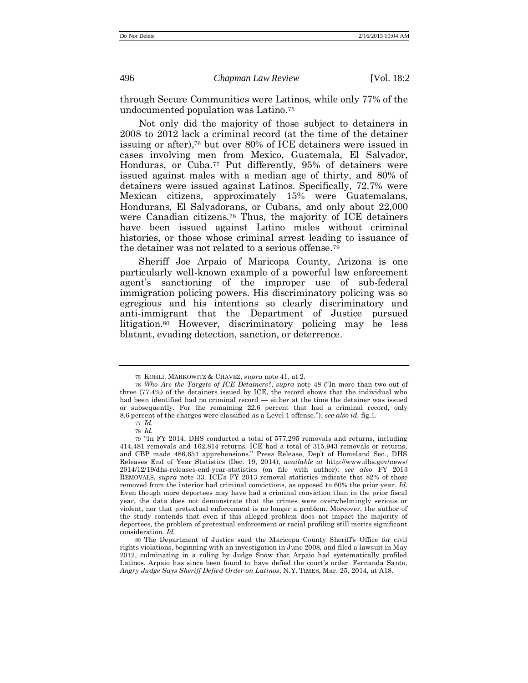through Secure Communities were Latinos, while only 77% of the undocumented population was Latino.<sup>75</sup>

Not only did the majority of those subject to detainers in 2008 to 2012 lack a criminal record (at the time of the detainer issuing or after), <sup>76</sup> but over 80% of ICE detainers were issued in cases involving men from Mexico, Guatemala, El Salvador, Honduras, or Cuba.<sup>77</sup> Put differently, 95% of detainers were issued against males with a median age of thirty, and 80% of detainers were issued against Latinos. Specifically, 72.7% were Mexican citizens, approximately 15% were Guatemalans, Hondurans, El Salvadorans, or Cubans, and only about 22,000 were Canadian citizens.<sup>78</sup> Thus, the majority of ICE detainers have been issued against Latino males without criminal histories, or those whose criminal arrest leading to issuance of the detainer was not related to a serious offense.<sup>79</sup>

Sheriff Joe Arpaio of Maricopa County, Arizona is one particularly well-known example of a powerful law enforcement agent's sanctioning of the improper use of sub-federal immigration policing powers. His discriminatory policing was so egregious and his intentions so clearly discriminatory and anti-immigrant that the Department of Justice pursued litigation.<sup>80</sup> However, discriminatory policing may be less blatant, evading detection, sanction, or deterrence.

<sup>75</sup> KOHLI, MARKOWITZ & CHAVEZ, *supra* note [41,](#page-10-1) at 2.

<sup>76</sup> *Who Are the Targets of ICE Detainers?*, *supra* note [48](#page-11-0) ("In more than two out of three (77.4%) of the detainers issued by ICE, the record shows that the individual who had been identified had no criminal record — either at the time the detainer was issued or subsequently. For the remaining 22.6 percent that had a criminal record, only 8.6 percent of the charges were classified as a Level 1 offense."); *see also id.* fig.1.

<sup>77</sup> *Id.* 78 *Id.*

<sup>79</sup> "In FY 2014, DHS conducted a total of 577,295 removals and returns, including 414,481 removals and 162,814 returns. ICE had a total of 315,943 removals or returns, and CBP made 486,651 apprehensions." Press Release, Dep't of Homeland Sec., DHS Releases End of Year Statistics (Dec. 19, 2014), *available at* http://www.dhs.gov/news/ 2014/12/19/dhs-releases-end-year-statistics (on file with author); *see also* FY 2013 REMOVALS, *supra* note [33](#page-9-1). ICE's FY 2013 removal statistics indicate that 82% of those removed from the interior had criminal convictions, as opposed to 60% the prior year. *Id.* Even though more deportees may have had a criminal conviction than in the prior fiscal year, the data does not demonstrate that the crimes were overwhelmingly serious or violent, nor that pretextual enforcement is no longer a problem. Moreover, the author of the study contends that even if this alleged problem does not impact the majority of deportees, the problem of pretextual enforcement or racial profiling still merits significant consideration. *Id.*

<sup>80</sup> The Department of Justice sued the Maricopa County Sheriff's Office for civil rights violations, beginning with an investigation in June 2008, and filed a lawsuit in May 2012, culminating in a ruling by Judge Snow that Arpaio had systematically profiled Latinos. Arpaio has since been found to have defied the court's order. Fernanda Santo, *Angry Judge Says Sheriff Defied Order on Latinos*, N.Y. TIMES, Mar. 25, 2014, at A18.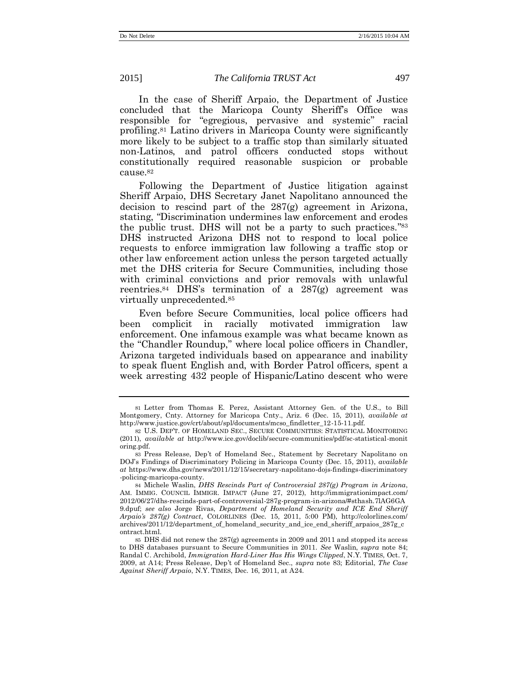In the case of Sheriff Arpaio, the Department of Justice concluded that the Maricopa County Sheriff's Office was responsible for "egregious, pervasive and systemic" racial profiling.<sup>81</sup> Latino drivers in Maricopa County were significantly more likely to be subject to a traffic stop than similarly situated non-Latinos, and patrol officers conducted stops without constitutionally required reasonable suspicion or probable cause.<sup>82</sup>

Following the Department of Justice litigation against Sheriff Arpaio, DHS Secretary Janet Napolitano announced the decision to rescind part of the 287(g) agreement in Arizona, stating, "Discrimination undermines law enforcement and erodes the public trust. DHS will not be a party to such practices." 83 DHS instructed Arizona DHS not to respond to local police requests to enforce immigration law following a traffic stop or other law enforcement action unless the person targeted actually met the DHS criteria for Secure Communities, including those with criminal convictions and prior removals with unlawful reentries.<sup>84</sup> DHS's termination of a  $287(g)$  agreement was virtually unprecedented.<sup>85</sup>

<span id="page-17-0"></span>Even before Secure Communities, local police officers had been complicit in racially motivated immigration law enforcement. One infamous example was what became known as the "Chandler Roundup," where local police officers in Chandler, Arizona targeted individuals based on appearance and inability to speak fluent English and, with Border Patrol officers, spent a week arresting 432 people of Hispanic/Latino descent who were

<span id="page-17-1"></span>

<sup>81</sup> Letter from Thomas E. Perez, Assistant Attorney Gen. of the U.S., to Bill Montgomery, Cnty. Attorney for Maricopa Cnty., Ariz. 6 (Dec. 15, 2011), *available at* http://www.justice.gov/crt/about/spl/documents/mcso\_findletter\_12-15-11.pdf.

<sup>82</sup> U.S. DEP'T. OF HOMELAND SEC., SECURE COMMUNITIES: STATISTICAL MONITORING (2011), *available at* http://www.ice.gov/doclib/secure-communities/pdf/sc-statistical-monit oring.pdf.

<sup>83</sup> Press Release, Dep't of Homeland Sec., Statement by Secretary Napolitano on DOJ's Findings of Discriminatory Policing in Maricopa County (Dec. 15, 2011), *available at* https://www.dhs.gov/news/2011/12/15/secretary-napolitano-dojs-findings-discriminatory -policing-maricopa-county.

<sup>84</sup> Michele Waslin, *DHS Rescinds Part of Controversial 287(g) Program in Arizona*, AM. IMMIG. COUNCIL IMMIGR. IMPACT (June 27, 2012), http://immigrationimpact.com/ 2012/06/27/dhs-rescinds-part-of-controversial-287g-program-in-arizona/#sthash.7lAG6GA 9.dpuf; *see also* Jorge Rivas, *Department of Homeland Security and ICE End Sheriff Arpaio's 287(g) Contract*, COLORLINES (Dec. 15, 2011, 5:00 PM), http://colorlines.com/ archives/2011/12/department\_of\_homeland\_security\_and\_ice\_end\_sheriff\_arpaios\_287g\_c ontract.html.

<sup>85</sup> DHS did not renew the 287(g) agreements in 2009 and 2011 and stopped its access to DHS databases pursuant to Secure Communities in 2011. *See* Waslin, *supra* note [84;](#page-17-0) Randal C. Archibold, *Immigration Hard-Liner Has His Wings Clipped*, N.Y. TIMES, Oct. 7, 2009, at A14; Press Release, Dep't of Homeland Sec., *supra* note [83;](#page-17-1) Editorial, *The Case Against Sheriff Arpaio*, N.Y. TIMES, Dec. 16, 2011, at A24.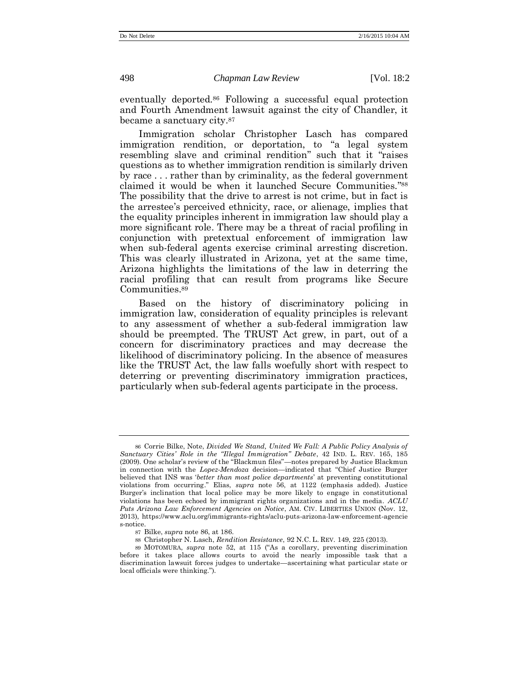<span id="page-18-0"></span>eventually deported.<sup>86</sup> Following a successful equal protection and Fourth Amendment lawsuit against the city of Chandler, it became a sanctuary city.<sup>87</sup>

Immigration scholar Christopher Lasch has compared immigration rendition, or deportation, to "a legal system resembling slave and criminal rendition" such that it "raises questions as to whether immigration rendition is similarly driven by race . . . rather than by criminality, as the federal government claimed it would be when it launched Secure Communities." 88 The possibility that the drive to arrest is not crime, but in fact is the arrestee's perceived ethnicity, race, or alienage, implies that the equality principles inherent in immigration law should play a more significant role. There may be a threat of racial profiling in conjunction with pretextual enforcement of immigration law when sub-federal agents exercise criminal arresting discretion. This was clearly illustrated in Arizona, yet at the same time, Arizona highlights the limitations of the law in deterring the racial profiling that can result from programs like Secure Communities.<sup>89</sup>

Based on the history of discriminatory policing in immigration law, consideration of equality principles is relevant to any assessment of whether a sub-federal immigration law should be preempted. The TRUST Act grew, in part, out of a concern for discriminatory practices and may decrease the likelihood of discriminatory policing. In the absence of measures like the TRUST Act, the law falls woefully short with respect to deterring or preventing discriminatory immigration practices, particularly when sub-federal agents participate in the process.

<sup>86</sup> Corrie Bilke, Note, *Divided We Stand, United We Fall: A Public Policy Analysis of Sanctuary Cities' Role in the "Illegal Immigration" Debate*, 42 IND. L. REV. 165, 185 (2009). One scholar's review of the "Blackmun files"—notes prepared by Justice Blackmun in connection with the *Lopez-Mendoza* decision—indicated that "Chief Justice Burger believed that INS was '*better than most police departments*' at preventing constitutional violations from occurring." Elias, *supra* note [56,](#page-13-1) at 1122 (emphasis added). Justice Burger's inclination that local police may be more likely to engage in constitutional violations has been echoed by immigrant rights organizations and in the media. *ACLU Puts Arizona Law Enforcement Agencies on Notice*, AM. CIV. LIBERTIES UNION (Nov. 12, 2013), https://www.aclu.org/immigrants-rights/aclu-puts-arizona-law-enforcement-agencie s-notice.

<sup>87</sup> Bilke, *supra* not[e 86,](#page-18-0) at 186.

<sup>88</sup> Christopher N. Lasch, *Rendition Resistance*, 92 N.C. L. REV. 149, 225 (2013).

<sup>89</sup> MOTOMURA, *supra* note [52](#page-12-3), at 115 ("As a corollary, preventing discrimination before it takes place allows courts to avoid the nearly impossible task that a discrimination lawsuit forces judges to undertake—ascertaining what particular state or local officials were thinking.").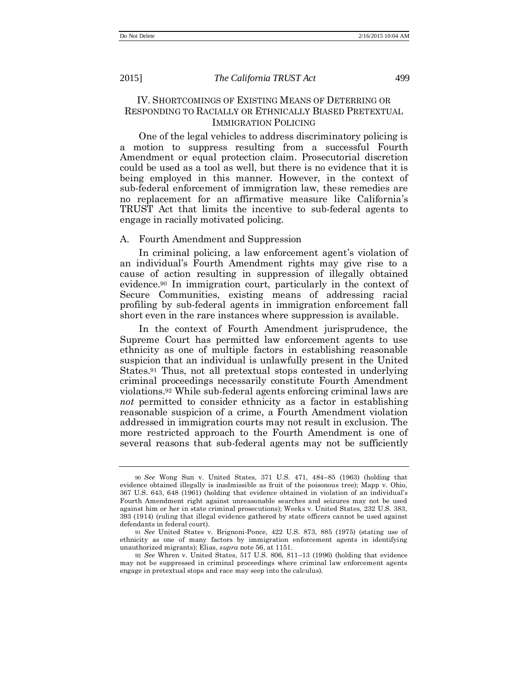IV. SHORTCOMINGS OF EXISTING MEANS OF DETERRING OR RESPONDING TO RACIALLY OR ETHNICALLY BIASED PRETEXTUAL IMMIGRATION POLICING

One of the legal vehicles to address discriminatory policing is a motion to suppress resulting from a successful Fourth Amendment or equal protection claim. Prosecutorial discretion could be used as a tool as well, but there is no evidence that it is being employed in this manner. However, in the context of sub-federal enforcement of immigration law, these remedies are no replacement for an affirmative measure like California's TRUST Act that limits the incentive to sub-federal agents to engage in racially motivated policing.

#### A. Fourth Amendment and Suppression

In criminal policing, a law enforcement agent's violation of an individual's Fourth Amendment rights may give rise to a cause of action resulting in suppression of illegally obtained evidence.<sup>90</sup> In immigration court, particularly in the context of Secure Communities, existing means of addressing racial profiling by sub-federal agents in immigration enforcement fall short even in the rare instances where suppression is available.

In the context of Fourth Amendment jurisprudence, the Supreme Court has permitted law enforcement agents to use ethnicity as one of multiple factors in establishing reasonable suspicion that an individual is unlawfully present in the United States.<sup>91</sup> Thus, not all pretextual stops contested in underlying criminal proceedings necessarily constitute Fourth Amendment violations.<sup>92</sup> While sub-federal agents enforcing criminal laws are *not* permitted to consider ethnicity as a factor in establishing reasonable suspicion of a crime, a Fourth Amendment violation addressed in immigration courts may not result in exclusion. The more restricted approach to the Fourth Amendment is one of several reasons that sub-federal agents may not be sufficiently

<sup>90</sup> *See* Wong Sun v. United States, 371 U.S. 471, 484–85 (1963) (holding that evidence obtained illegally is inadmissible as fruit of the poisonous tree); Mapp v. Ohio, 367 U.S. 643, 648 (1961) (holding that evidence obtained in violation of an individual's Fourth Amendment right against unreasonable searches and seizures may not be used against him or her in state criminal prosecutions); Weeks v. United States, 232 U.S. 383, 393 (1914) (ruling that illegal evidence gathered by state officers cannot be used against defendants in federal court).

<sup>91</sup> *See* United States v. Brignoni-Ponce, 422 U.S. 873, 885 (1975) (stating use of ethnicity as one of many factors by immigration enforcement agents in identifying unauthorized migrants); Elias, *supra* not[e 56,](#page-13-1) at 1151.

<sup>92</sup> *See* Whren v. United States, 517 U.S. 806, 811–13 (1996) (holding that evidence may not be suppressed in criminal proceedings where criminal law enforcement agents engage in pretextual stops and race may seep into the calculus).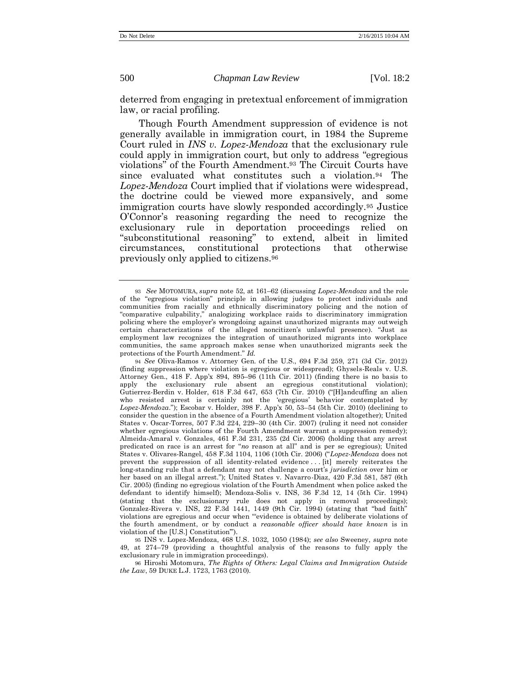deterred from engaging in pretextual enforcement of immigration law, or racial profiling.

Though Fourth Amendment suppression of evidence is not generally available in immigration court, in 1984 the Supreme Court ruled in *INS v. Lopez-Mendoza* that the exclusionary rule could apply in immigration court, but only to address "egregious violations" of the Fourth Amendment.<sup>93</sup> The Circuit Courts have since evaluated what constitutes such a violation.<sup>94</sup> The *Lopez-Mendoza* Court implied that if violations were widespread, the doctrine could be viewed more expansively, and some immigration courts have slowly responded accordingly.<sup>95</sup> Justice O'Connor's reasoning regarding the need to recognize the exclusionary rule in deportation proceedings relied on "subconstitutional reasoning" to extend, albeit in limited circumstances, constitutional protections that otherwise previously only applied to citizens.<sup>96</sup>

95 INS v. Lopez-Mendoza, 468 U.S. 1032, 1050 (1984); *see also* Sweeney, *supra* note [49,](#page-12-0) at 274–79 (providing a thoughtful analysis of the reasons to fully apply the exclusionary rule in immigration proceedings).

96 Hiroshi Motomura, *The Rights of Others: Legal Claims and Immigration Outside the Law*, 59 DUKE L.J. 1723, 1763 (2010).

<span id="page-20-0"></span><sup>93</sup> *See* MOTOMURA, *supra* note [52,](#page-12-3) at 161–62 (discussing *Lopez-Mendoza* and the role of the "egregious violation" principle in allowing judges to protect individuals and communities from racially and ethnically discriminatory policing and the notion of "comparative culpability," analogizing workplace raids to discriminatory immigration policing where the employer's wrongdoing against unauthorized migrants may outweigh certain characterizations of the alleged noncitizen's unlawful presence). "Just as employment law recognizes the integration of unauthorized migrants into workplace communities, the same approach makes sense when unauthorized migrants seek the protections of the Fourth Amendment." *Id.*

<sup>94</sup> *See* Oliva-Ramos v. Attorney Gen. of the U.S., 694 F.3d 259, 271 (3d Cir. 2012) (finding suppression where violation is egregious or widespread); Ghysels-Reals v. U.S. Attorney Gen., 418 F. App'x 894, 895–96 (11th Cir. 2011) (finding there is no basis to apply the exclusionary rule absent an egregious constitutional violation); Gutierrez-Berdin v. Holder, 618 F.3d 647, 653 (7th Cir. 2010) ("[H]andcuffing an alien who resisted arrest is certainly not the 'egregious' behavior contemplated by *Lopez-Mendoza*."); Escobar v. Holder, 398 F. App'x 50, 53–54 (5th Cir. 2010) (declining to consider the question in the absence of a Fourth Amendment violation altogether); United States v. Oscar-Torres, 507 F.3d 224, 229–30 (4th Cir. 2007) (ruling it need not consider whether egregious violations of the Fourth Amendment warrant a suppression remedy); Almeida-Amaral v. Gonzales, 461 F.3d 231, 235 (2d Cir. 2006) (holding that any arrest predicated on race is an arrest for "*no* reason at all" and is per se egregious); United States v. Olivares-Rangel, 458 F.3d 1104, 1106 (10th Cir. 2006) ("*Lopez-Mendoza* does not prevent the suppression of all identity-related evidence . . . [it] merely reiterates the long-standing rule that a defendant may not challenge a court's *jurisdiction* over him or her based on an illegal arrest."); United States v. Navarro-Diaz, 420 F.3d 581, 587 (6th Cir. 2005) (finding no egregious violation of the Fourth Amendment when police asked the defendant to identify himself); Mendoza-Solis v. INS, 36 F.3d 12, 14 (5th Cir. 1994) (stating that the exclusionary rule does not apply in removal proceedings); Gonzalez-Rivera v. INS, 22 F.3d 1441, 1449 (9th Cir. 1994) (stating that "bad faith" violations are egregious and occur when "'evidence is obtained by deliberate violations of the fourth amendment, or by conduct a *reasonable officer should have known* is in violation of the [U.S.] Constitution'").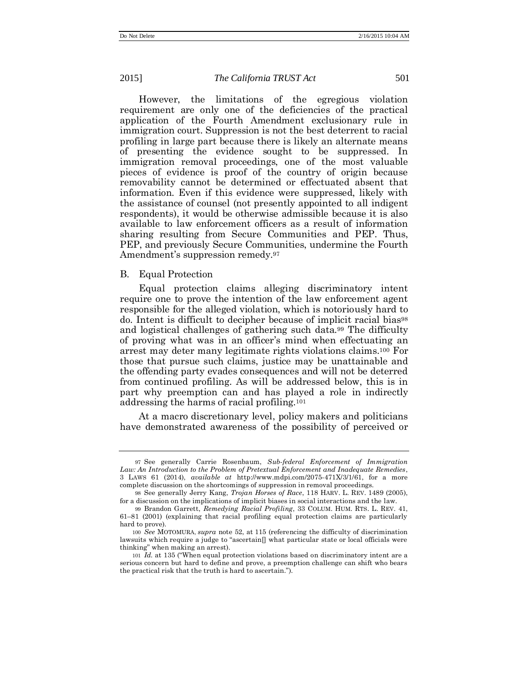However, the limitations of the egregious violation requirement are only one of the deficiencies of the practical application of the Fourth Amendment exclusionary rule in immigration court. Suppression is not the best deterrent to racial profiling in large part because there is likely an alternate means of presenting the evidence sought to be suppressed. In immigration removal proceedings, one of the most valuable pieces of evidence is proof of the country of origin because removability cannot be determined or effectuated absent that information. Even if this evidence were suppressed, likely with the assistance of counsel (not presently appointed to all indigent respondents), it would be otherwise admissible because it is also available to law enforcement officers as a result of information sharing resulting from Secure Communities and PEP. Thus, PEP, and previously Secure Communities, undermine the Fourth Amendment's suppression remedy.<sup>97</sup>

#### B. Equal Protection

Equal protection claims alleging discriminatory intent require one to prove the intention of the law enforcement agent responsible for the alleged violation, which is notoriously hard to do. Intent is difficult to decipher because of implicit racial bias<sup>98</sup> and logistical challenges of gathering such data.<sup>99</sup> The difficulty of proving what was in an officer's mind when effectuating an arrest may deter many legitimate rights violations claims.<sup>100</sup> For those that pursue such claims, justice may be unattainable and the offending party evades consequences and will not be deterred from continued profiling. As will be addressed below, this is in part why preemption can and has played a role in indirectly addressing the harms of racial profiling.<sup>101</sup>

At a macro discretionary level, policy makers and politicians have demonstrated awareness of the possibility of perceived or

<sup>97</sup> See generally Carrie Rosenbaum, *Sub-federal Enforcement of Immigration Law: An Introduction to the Problem of Pretextual Enforcement and Inadequate Remedies*, 3 LAWS 61 (2014), *available at* http://www.mdpi.com/2075-471X/3/1/61, for a more complete discussion on the shortcomings of suppression in removal proceedings.

<sup>98</sup> See generally Jerry Kang, *Trojan Horses of Race*, 118 HARV. L. REV. 1489 (2005), for a discussion on the implications of implicit biases in social interactions and the law.

<sup>99</sup> Brandon Garrett, *Remedying Racial Profiling*, 33 COLUM. HUM. RTS. L. REV. 41, 61–81 (2001) (explaining that racial profiling equal protection claims are particularly hard to prove).

<sup>100</sup> *See* MOTOMURA, *supra* note [52,](#page-12-3) at 115 (referencing the difficulty of discrimination lawsuits which require a judge to "ascertain[] what particular state or local officials were thinking" when making an arrest).

<sup>101</sup> *Id.* at 135 ("When equal protection violations based on discriminatory intent are a serious concern but hard to define and prove, a preemption challenge can shift who bears the practical risk that the truth is hard to ascertain.").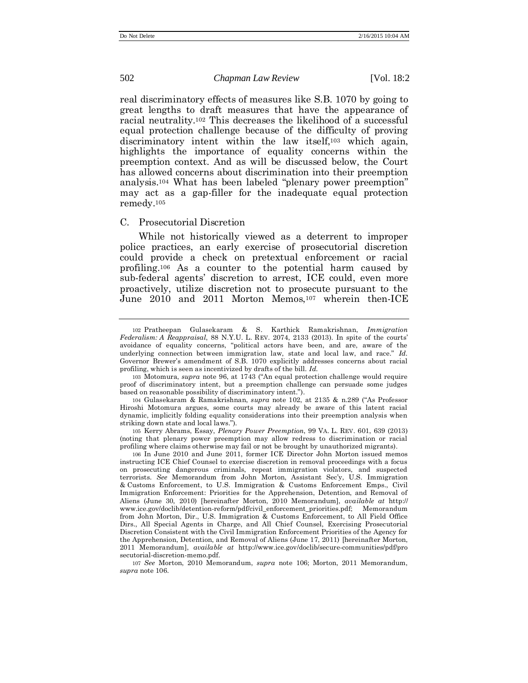<span id="page-22-0"></span>real discriminatory effects of measures like S.B. 1070 by going to great lengths to draft measures that have the appearance of racial neutrality. <sup>102</sup> This decreases the likelihood of a successful equal protection challenge because of the difficulty of proving discriminatory intent within the law itself,<sup>103</sup> which again, highlights the importance of equality concerns within the preemption context. And as will be discussed below, the Court has allowed concerns about discrimination into their preemption analysis.<sup>104</sup> What has been labeled "plenary power preemption" may act as a gap-filler for the inadequate equal protection remedy.<sup>105</sup>

#### <span id="page-22-2"></span>C. Prosecutorial Discretion

<span id="page-22-1"></span>While not historically viewed as a deterrent to improper police practices, an early exercise of prosecutorial discretion could provide a check on pretextual enforcement or racial profiling.<sup>106</sup> As a counter to the potential harm caused by sub-federal agents' discretion to arrest, ICE could, even more proactively, utilize discretion not to prosecute pursuant to the June 2010 and 2011 Morton Memos,<sup>107</sup> wherein then-ICE

105 Kerry Abrams, Essay, *Plenary Power Preemption*, 99 VA. L. REV. 601, 639 (2013) (noting that plenary power preemption may allow redress to discrimination or racial profiling where claims otherwise may fail or not be brought by unauthorized migrants).

<sup>102</sup> Pratheepan Gulasekaram & S. Karthick Ramakrishnan, *Immigration Federalism: A Reappraisal*, 88 N.Y.U. L. REV. 2074, 2133 (2013). In spite of the courts' avoidance of equality concerns, "political actors have been, and are, aware of the underlying connection between immigration law, state and local law, and race." *Id.* Governor Brewer's amendment of S.B. 1070 explicitly addresses concerns about racial profiling, which is seen as incentivized by drafts of the bill. *Id.*

<sup>103</sup> Motomura, *supra* note [96](#page-20-0), at 1743 ("An equal protection challenge would require proof of discriminatory intent, but a preemption challenge can persuade some judges based on reasonable possibility of discriminatory intent.").

<sup>104</sup> Gulasekaram & Ramakrishnan, *supra* note [102,](#page-22-0) at 2135 & n.289 ("As Professor Hiroshi Motomura argues, some courts may already be aware of this latent racial dynamic, implicitly folding equality considerations into their preemption analysis when striking down state and local laws.").

<sup>106</sup> In June 2010 and June 2011, former ICE Director John Morton issued memos instructing ICE Chief Counsel to exercise discretion in removal proceedings with a focus on prosecuting dangerous criminals, repeat immigration violators, and suspected terrorists. *See* Memorandum from John Morton, Assistant Sec'y, U.S. Immigration & Customs Enforcement, to U.S. Immigration & Customs Enforcement Emps., Civil Immigration Enforcement: Priorities for the Apprehension, Detention, and Removal of Aliens (June 30, 2010) [hereinafter Morton, 2010 Memorandum], *available at* http:// www.ice.gov/doclib/detention-reform/pdf/civil\_enforcement\_priorities.pdf; Memorandum from John Morton, Dir., U.S. Immigration & Customs Enforcement, to All Field Office Dirs., All Special Agents in Charge, and All Chief Counsel, Exercising Prosecutorial Discretion Consistent with the Civil Immigration Enforcement Priorities of the Agency for the Apprehension, Detention, and Removal of Aliens (June 17, 2011) [hereinafter Morton, 2011 Memorandum], *available at* http://www.ice.gov/doclib/secure-communities/pdf/pro secutorial-discretion-memo.pdf.

<sup>107</sup> *See* Morton, 2010 Memorandum, *supra* note [106;](#page-22-1) Morton, 2011 Memorandum, *supra* not[e 106.](#page-22-1)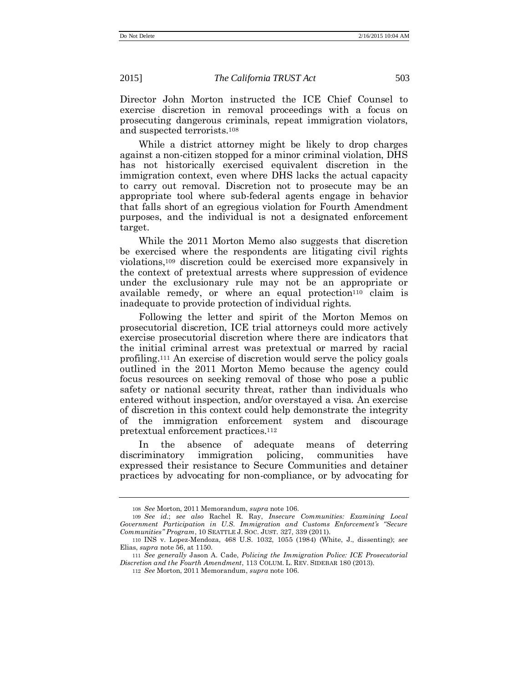Director John Morton instructed the ICE Chief Counsel to exercise discretion in removal proceedings with a focus on prosecuting dangerous criminals, repeat immigration violators, and suspected terrorists.<sup>108</sup>

While a district attorney might be likely to drop charges against a non-citizen stopped for a minor criminal violation, DHS has not historically exercised equivalent discretion in the immigration context, even where DHS lacks the actual capacity to carry out removal. Discretion not to prosecute may be an appropriate tool where sub-federal agents engage in behavior that falls short of an egregious violation for Fourth Amendment purposes, and the individual is not a designated enforcement target.

While the 2011 Morton Memo also suggests that discretion be exercised where the respondents are litigating civil rights violations,<sup>109</sup> discretion could be exercised more expansively in the context of pretextual arrests where suppression of evidence under the exclusionary rule may not be an appropriate or available remedy, or where an equal protection<sup>110</sup> claim is inadequate to provide protection of individual rights.

Following the letter and spirit of the Morton Memos on prosecutorial discretion, ICE trial attorneys could more actively exercise prosecutorial discretion where there are indicators that the initial criminal arrest was pretextual or marred by racial profiling.<sup>111</sup> An exercise of discretion would serve the policy goals outlined in the 2011 Morton Memo because the agency could focus resources on seeking removal of those who pose a public safety or national security threat, rather than individuals who entered without inspection, and/or overstayed a visa. An exercise of discretion in this context could help demonstrate the integrity of the immigration enforcement system and discourage pretextual enforcement practices. 112

In the absence of adequate means of deterring discriminatory immigration policing, communities have expressed their resistance to Secure Communities and detainer practices by advocating for non-compliance, or by advocating for

<sup>108</sup> *See* Morton, 2011 Memorandum, *supra* not[e 106.](#page-22-1)

<sup>109</sup> *See id.*; *see also* Rachel R. Ray, *Insecure Communities: Examining Local Government Participation in U.S. Immigration and Customs Enforcement's "Secure Communities" Program*, 10 SEATTLE J. SOC. JUST. 327, 339 (2011).

<sup>110</sup> INS v. Lopez-Mendoza, 468 U.S. 1032, 1055 (1984) (White, J., dissenting); *see*  Elias, *supra* note [56,](#page-13-1) at 1150.

<sup>111</sup> *See generally* Jason A. Cade, *Policing the Immigration Police: ICE Prosecutorial Discretion and the Fourth Amendment*, 113 COLUM. L. REV. SIDEBAR 180 (2013).

<sup>112</sup> *See* Morton, 2011 Memorandum, *supra* not[e 106.](#page-22-1)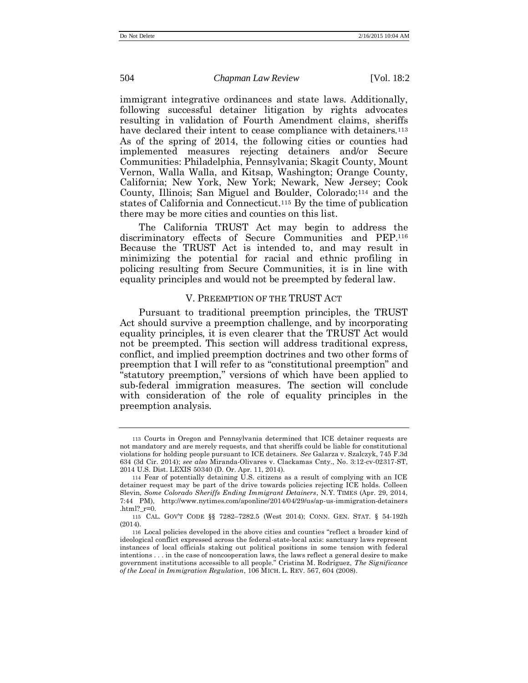immigrant integrative ordinances and state laws. Additionally, following successful detainer litigation by rights advocates resulting in validation of Fourth Amendment claims, sheriffs have declared their intent to cease compliance with detainers.<sup>113</sup> As of the spring of 2014, the following cities or counties had implemented measures rejecting detainers and/or Secure Communities: Philadelphia, Pennsylvania; Skagit County, Mount Vernon, Walla Walla, and Kitsap, Washington; Orange County, California; New York, New York; Newark, New Jersey; Cook County, Illinois; San Miguel and Boulder, Colorado;<sup>114</sup> and the states of California and Connecticut.<sup>115</sup> By the time of publication there may be more cities and counties on this list.

The California TRUST Act may begin to address the discriminatory effects of Secure Communities and PEP. 116 Because the TRUST Act is intended to, and may result in minimizing the potential for racial and ethnic profiling in policing resulting from Secure Communities, it is in line with equality principles and would not be preempted by federal law.

#### <span id="page-24-0"></span>V. PREEMPTION OF THE TRUST ACT

Pursuant to traditional preemption principles, the TRUST Act should survive a preemption challenge, and by incorporating equality principles, it is even clearer that the TRUST Act would not be preempted. This section will address traditional express, conflict, and implied preemption doctrines and two other forms of preemption that I will refer to as "constitutional preemption" and "statutory preemption," versions of which have been applied to sub-federal immigration measures. The section will conclude with consideration of the role of equality principles in the preemption analysis.

<sup>113</sup> Courts in Oregon and Pennsylvania determined that ICE detainer requests are not mandatory and are merely requests, and that sheriffs could be liable for constitutional violations for holding people pursuant to ICE detainers. *See* Galarza v. Szalczyk, 745 F.3d 634 (3d Cir. 2014); *see also* Miranda-Olivares v. Clackamas Cnty., No. 3:12-cv-02317-ST, 2014 U.S. Dist. LEXIS 50340 (D. Or. Apr. 11, 2014).

<sup>114</sup> Fear of potentially detaining U.S. citizens as a result of complying with an ICE detainer request may be part of the drive towards policies rejecting ICE holds. Colleen Slevin, *Some Colorado Sheriffs Ending Immigrant Detainers*, N.Y. TIMES (Apr. 29, 2014, 7:44 PM), [h](http://www.nytimes.com/aponline/2014/04/29/us/ap-us-immigration-detainers.html?_r=0)ttp://www.nytimes.com/aponline/2014/04/29/us/ap-us-immigration-detainers .html?  $r=0$ .

<sup>115</sup> CAL. GOV'T CODE §§ 7282–7282.5 (West 2014); CONN. GEN. STAT. § 54-192h (2014).

<sup>116</sup> Local policies developed in the above cities and counties "reflect a broader kind of ideological conflict expressed across the federal-state-local axis: sanctuary laws represent instances of local officials staking out political positions in some tension with federal intentions . . . in the case of noncooperation laws, the laws reflect a general desire to make government institutions accessible to all people." Cristina M. Rodríguez, *The Significance of the Local in Immigration Regulation*, 106 MICH. L. REV. 567, 604 (2008).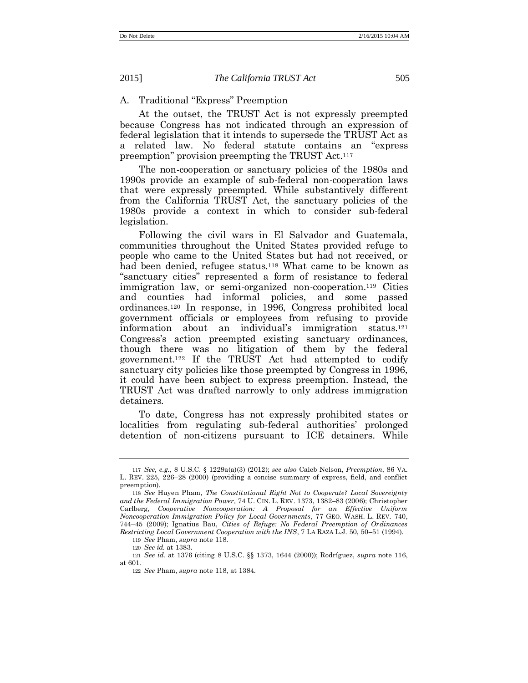#### A. Traditional "Express" Preemption

At the outset, the TRUST Act is not expressly preempted because Congress has not indicated through an expression of federal legislation that it intends to supersede the TRUST Act as a related law. No federal statute contains an "express preemption" provision preempting the TRUST Act.<sup>117</sup>

The non-cooperation or sanctuary policies of the 1980s and 1990s provide an example of sub-federal non-cooperation laws that were expressly preempted. While substantively different from the California TRUST Act, the sanctuary policies of the 1980s provide a context in which to consider sub-federal legislation.

<span id="page-25-0"></span>Following the civil wars in El Salvador and Guatemala, communities throughout the United States provided refuge to people who came to the United States but had not received, or had been denied, refugee status.<sup>118</sup> What came to be known as "sanctuary cities" represented a form of resistance to federal immigration law, or semi-organized non-cooperation.<sup>119</sup> Cities and counties had informal policies, and some passed ordinances.<sup>120</sup> In response, in 1996, Congress prohibited local government officials or employees from refusing to provide information about an individual's immigration status.<sup>121</sup> Congress's action preempted existing sanctuary ordinances, though there was no litigation of them by the federal government. <sup>122</sup> If the TRUST Act had attempted to codify sanctuary city policies like those preempted by Congress in 1996, it could have been subject to express preemption. Instead, the TRUST Act was drafted narrowly to only address immigration detainers.

To date, Congress has not expressly prohibited states or localities from regulating sub-federal authorities' prolonged detention of non-citizens pursuant to ICE detainers. While

<span id="page-25-1"></span>

<sup>117</sup> *See, e.g.*, 8 U.S.C. § 1229a(a)(3) (2012); *see also* Caleb Nelson, *Preemption*, 86 VA. L. REV. 225, 226–28 (2000) (providing a concise summary of express, field, and conflict preemption).

<sup>118</sup> *See* Huyen Pham, *The Constitutional Right Not to Cooperate? Local Sovereignty and the Federal Immigration Power,* 74 U. CIN. L. REV. 1373, 1382–83 (2006); Christopher Carlberg, *Cooperative Noncooperation: A Proposal for an Effective Uniform Noncooperation Immigration Policy for Local Governments*, 77 GEO. WASH. L. REV. 740, 744–45 (2009); Ignatius Bau, *Cities of Refuge: No Federal Preemption of Ordinances Restricting Local Government Cooperation with the INS*, 7 LA RAZA L.J. 50, 50–51 (1994).

119 *See* Pham, *supra* not[e 118.](#page-25-0)

<sup>120</sup> *See id.* at 1383.

<sup>121</sup> *See id.* at 1376 (citing 8 U.S.C. §§ 1373, 1644 (2000)); Rodríguez, *supra* note [116,](#page-24-0) at 601.

<sup>122</sup> *See* Pham, *supra* not[e 118,](#page-25-0) at 1384.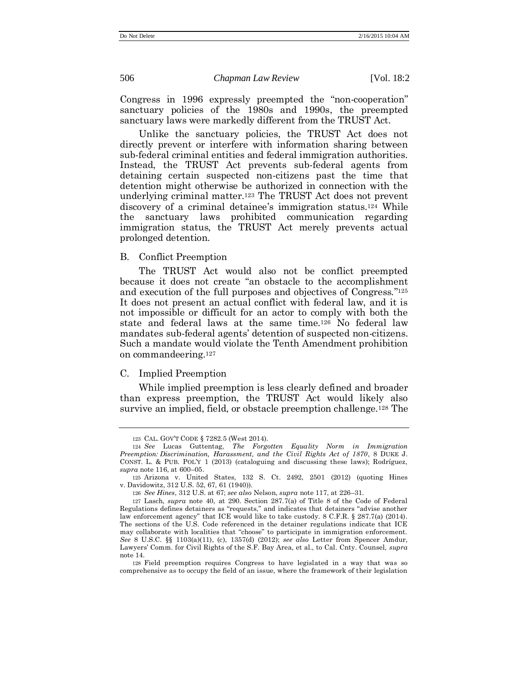<span id="page-26-0"></span>

Congress in 1996 expressly preempted the "non-cooperation" sanctuary policies of the 1980s and 1990s, the preempted sanctuary laws were markedly different from the TRUST Act.

Unlike the sanctuary policies, the TRUST Act does not directly prevent or interfere with information sharing between sub-federal criminal entities and federal immigration authorities. Instead, the TRUST Act prevents sub-federal agents from detaining certain suspected non-citizens past the time that detention might otherwise be authorized in connection with the underlying criminal matter.<sup>123</sup> The TRUST Act does not prevent discovery of a criminal detainee's immigration status.<sup>124</sup> While the sanctuary laws prohibited communication regarding immigration status, the TRUST Act merely prevents actual prolonged detention.

B. Conflict Preemption

The TRUST Act would also not be conflict preempted because it does not create "an obstacle to the accomplishment and execution of the full purposes and objectives of Congress." 125 It does not present an actual conflict with federal law, and it is not impossible or difficult for an actor to comply with both the state and federal laws at the same time.<sup>126</sup> No federal law mandates sub-federal agents' detention of suspected non-citizens. Such a mandate would violate the Tenth Amendment prohibition on commandeering.<sup>127</sup>

#### C. Implied Preemption

While implied preemption is less clearly defined and broader than express preemption, the TRUST Act would likely also survive an implied, field, or obstacle preemption challenge.<sup>128</sup> The

<sup>123</sup> CAL. GOV'T CODE § 7282.5 (West 2014).

<sup>124</sup> *See* Lucas Guttentag, *The Forgotten Equality Norm in Immigration Preemption: Discrimination, Harassment, and the Civil Rights Act of 1870*, 8 DUKE J. CONST. L. & PUB. POL'Y 1 (2013) (cataloguing and discussing these laws); Rodríguez, *supra* not[e 116,](#page-24-0) at 600–05.

<sup>125</sup> Arizona v. United States, 132 S. Ct. 2492, 2501 (2012) (quoting Hines v. Davidowitz, 312 U.S. 52, 67, 61 (1940)).

<sup>126</sup> *See Hines*, 312 U.S. at 67; *see also* Nelson, *supra* note [117,](#page-25-1) at 226–31.

<sup>127</sup> Lasch, *supra* note [40,](#page-10-0) at 290. Section 287.7(a) of Title 8 of the Code of Federal Regulations defines detainers as "requests," and indicates that detainers "advise another law enforcement agency" that ICE would like to take custody. 8 C.F.R. § 287.7(a) (2014). The sections of the U.S. Code referenced in the detainer regulations indicate that ICE may collaborate with localities that "choose" to participate in immigration enforcement. *See* 8 U.S.C. §§ 1103(a)(11), (c), 1357(d) (2012); *see also* Letter from Spencer Amdur, Lawyers' Comm. for Civil Rights of the S.F. Bay Area, et al., to Cal. Cnty. Counsel, *supra*  note [14.](#page-5-0)

<sup>128</sup> Field preemption requires Congress to have legislated in a way that was so comprehensive as to occupy the field of an issue, where the framework of their legislation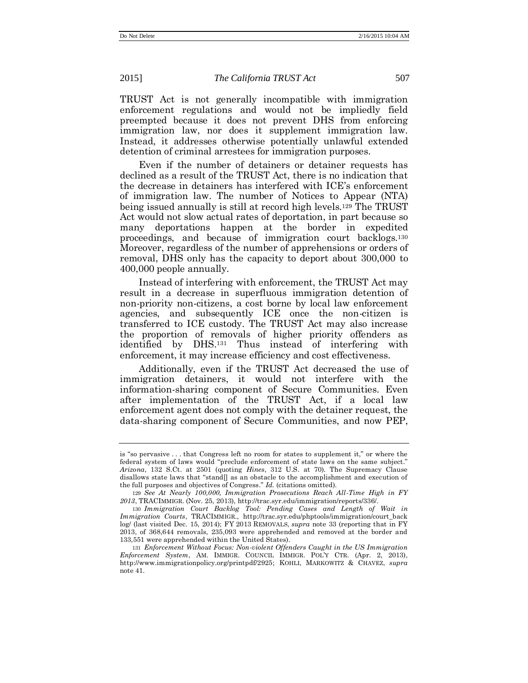TRUST Act is not generally incompatible with immigration enforcement regulations and would not be impliedly field preempted because it does not prevent DHS from enforcing immigration law, nor does it supplement immigration law. Instead, it addresses otherwise potentially unlawful extended detention of criminal arrestees for immigration purposes.

Even if the number of detainers or detainer requests has declined as a result of the TRUST Act, there is no indication that the decrease in detainers has interfered with ICE's enforcement of immigration law. The number of Notices to Appear (NTA) being issued annually is still at record high levels.<sup>129</sup> The TRUST Act would not slow actual rates of deportation, in part because so many deportations happen at the border in expedited proceedings, and because of immigration court backlogs.<sup>130</sup> Moreover, regardless of the number of apprehensions or orders of removal, DHS only has the capacity to deport about 300,000 to 400,000 people annually.

Instead of interfering with enforcement, the TRUST Act may result in a decrease in superfluous immigration detention of non-priority non-citizens, a cost borne by local law enforcement agencies, and subsequently ICE once the non-citizen is transferred to ICE custody. The TRUST Act may also increase the proportion of removals of higher priority offenders as identified by DHS.<sup>131</sup> Thus instead of interfering with enforcement, it may increase efficiency and cost effectiveness.

Additionally, even if the TRUST Act decreased the use of immigration detainers, it would not interfere with the information-sharing component of Secure Communities. Even after implementation of the TRUST Act, if a local law enforcement agent does not comply with the detainer request, the data-sharing component of Secure Communities, and now PEP,

is "so pervasive . . . that Congress left no room for states to supplement it," or where the federal system of laws would "preclude enforcement of state laws on the same subject." *Arizona*, 132 S.Ct. at 2501 (quoting *Hines*, 312 U.S. at 70). The Supremacy Clause disallows state laws that "stand[] as an obstacle to the accomplishment and execution of the full purposes and objectives of Congress." *Id.* (citations omitted).

<sup>129</sup> *See At Nearly 100,000, Immigration Prosecutions Reach All-Time High in FY 2013*, TRACIMMIGR. (Nov. 25, 2013), http://trac.syr.edu/immigration/reports/336/.

<sup>130</sup> *Immigration Court Backlog Tool: Pending Cases and Length of Wait in Immigration Courts*, TRACIMMIGR., http://trac.syr.edu/phptools/immigration/court\_back log/ (last visited Dec. 15, 2014); FY 2013 REMOVALS, *supra* note [33](#page-9-1) (reporting that in FY 2013, of 368,644 removals, 235,093 were apprehended and removed at the border and 133,551 were apprehended within the United States).

<sup>131</sup> *Enforcement Without Focus: Non-violent Offenders Caught in the US Immigration Enforcement System*, AM. IMMIGR. COUNCIL IMMIGR. POL'Y CTR. (Apr. 2, 2013), http://www.immigrationpolicy.org/printpdf/2925; KOHLI, MARKOWITZ & CHAVEZ, *supra*  note [41.](#page-10-1)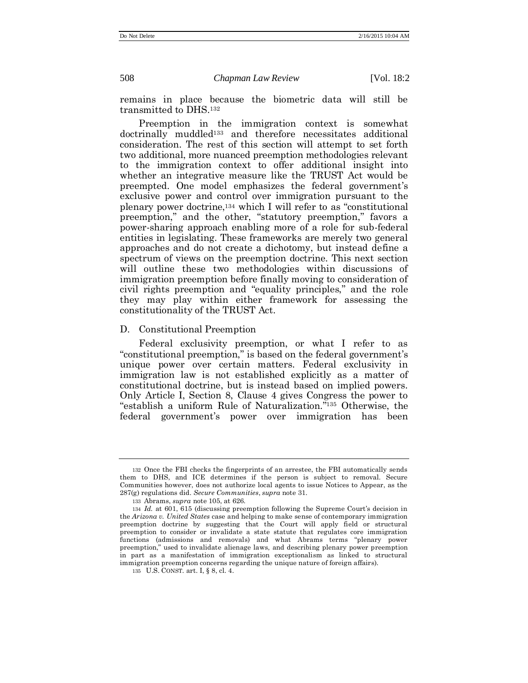remains in place because the biometric data will still be transmitted to DHS.<sup>132</sup>

Preemption in the immigration context is somewhat doctrinally muddled<sup>133</sup> and therefore necessitates additional consideration. The rest of this section will attempt to set forth two additional, more nuanced preemption methodologies relevant to the immigration context to offer additional insight into whether an integrative measure like the TRUST Act would be preempted. One model emphasizes the federal government's exclusive power and control over immigration pursuant to the plenary power doctrine, <sup>134</sup> which I will refer to as "constitutional preemption," and the other, "statutory preemption," favors a power-sharing approach enabling more of a role for sub-federal entities in legislating. These frameworks are merely two general approaches and do not create a dichotomy, but instead define a spectrum of views on the preemption doctrine. This next section will outline these two methodologies within discussions of immigration preemption before finally moving to consideration of civil rights preemption and "equality principles," and the role they may play within either framework for assessing the constitutionality of the TRUST Act.

D. Constitutional Preemption

Federal exclusivity preemption, or what I refer to as "constitutional preemption," is based on the federal government's unique power over certain matters. Federal exclusivity in immigration law is not established explicitly as a matter of constitutional doctrine, but is instead based on implied powers. Only Article I, Section 8, Clause 4 gives Congress the power to "establish a uniform Rule of Naturalization." <sup>135</sup> Otherwise, the federal government's power over immigration has been

<sup>132</sup> Once the FBI checks the fingerprints of an arrestee, the FBI automatically sends them to DHS, and ICE determines if the person is subject to removal. Secure Communities however, does not authorize local agents to issue Notices to Appear, as the 287(g) regulations did. *Secure Communities*, *supra* note [31.](#page-8-0)

<sup>133</sup> Abrams, *supra* note [105,](#page-22-2) at 626.

<sup>134</sup> *Id.* at 601, 615 (discussing preemption following the Supreme Court's decision in the *Arizona v. United States* case and helping to make sense of contemporary immigration preemption doctrine by suggesting that the Court will apply field or structural preemption to consider or invalidate a state statute that regulates core immigration functions (admissions and removals) and what Abrams terms "plenary power preemption," used to invalidate alienage laws, and describing plenary power preemption in part as a manifestation of immigration exceptionalism as linked to structural immigration preemption concerns regarding the unique nature of foreign affairs).

<sup>135</sup> U.S. CONST. art. I, § 8, cl. 4.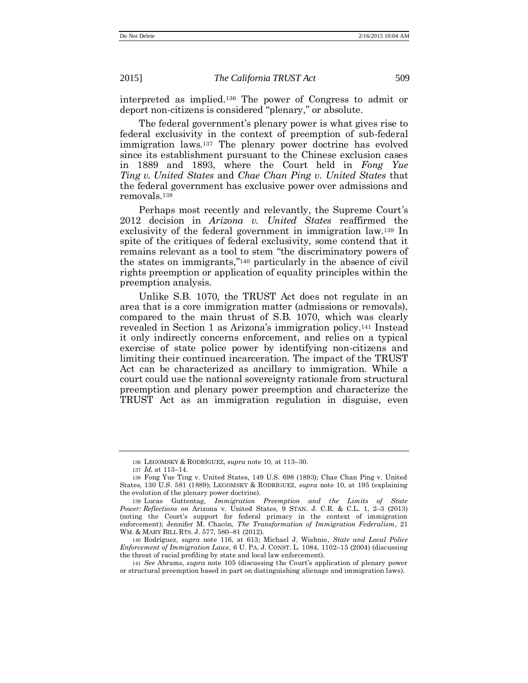interpreted as implied.<sup>136</sup> The power of Congress to admit or deport non-citizens is considered "plenary," or absolute.

The federal government's plenary power is what gives rise to federal exclusivity in the context of preemption of sub-federal immigration laws.<sup>137</sup> The plenary power doctrine has evolved since its establishment pursuant to the Chinese exclusion cases in 1889 and 1893, where the Court held in *Fong Yue Ting v. United States* and *Chae Chan Ping v. United States* that the federal government has exclusive power over admissions and removals.<sup>138</sup>

Perhaps most recently and relevantly, the Supreme Court's 2012 decision in *Arizona v. United States* reaffirmed the exclusivity of the federal government in immigration law.<sup>139</sup> In spite of the critiques of federal exclusivity, some contend that it remains relevant as a tool to stem "the discriminatory powers of the states on immigrants,"<sup>140</sup> particularly in the absence of civil rights preemption or application of equality principles within the preemption analysis.

Unlike S.B. 1070, the TRUST Act does not regulate in an area that is a core immigration matter (admissions or removals), compared to the main thrust of S.B. 1070, which was clearly revealed in Section 1 as Arizona's immigration policy.<sup>141</sup> Instead it only indirectly concerns enforcement, and relies on a typical exercise of state police power by identifying non-citizens and limiting their continued incarceration. The impact of the TRUST Act can be characterized as ancillary to immigration. While a court could use the national sovereignty rationale from structural preemption and plenary power preemption and characterize the TRUST Act as an immigration regulation in disguise, even

<sup>136</sup> LEGOMSKY & RODRÍGUEZ, *supra* not[e 10,](#page-4-1) at 113–30.

<sup>137</sup> *Id.* at 113–14.

<sup>138</sup> Fong Yue Ting v. United States, 149 U.S. 698 (1893); Chae Chan Ping v. United States, 130 U.S. 581 (1889); LEGOMSKY & RODRÍGUEZ, *supra* note [10,](#page-4-1) at 195 (explaining the evolution of the plenary power doctrine).

<sup>139</sup> Lucas Guttentag, *Immigration Preemption and the Limits of State Power: Reflections on* Arizona v. United States, 9 STAN. J. C.R. & C.L. 1, 2–3 (2013) (noting the Court's support for federal primacy in the context of immigration enforcement); Jennifer M. Chacón, *The Transformation of Immigration Federalism*, 21 WM. & MARY BILL RTS. J. 577, 580–81 (2012).

<sup>140</sup> Rodríguez, *supra* note [116,](#page-24-0) at 613; Michael J. Wishnie, *State and Local Police Enforcement of Immigration Laws*, 6 U. PA. J. CONST. L. 1084, 1102–15 (2004) (discussing the threat of racial profiling by state and local law enforcement).

<sup>141</sup> *See* Abrams, *supra* note [105](#page-22-2) (discussing the Court's application of plenary power or structural preemption based in part on distinguishing alienage and immigration laws).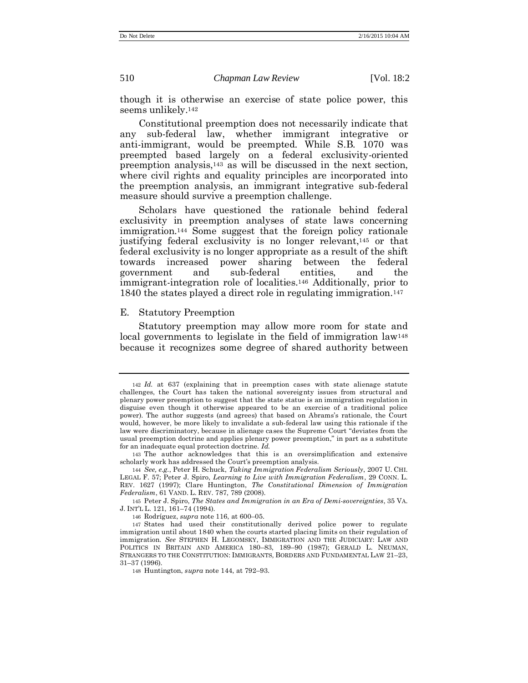though it is otherwise an exercise of state police power, this seems unlikely.<sup>142</sup>

Constitutional preemption does not necessarily indicate that any sub-federal law, whether immigrant integrative or anti-immigrant, would be preempted. While S.B. 1070 was preempted based largely on a federal exclusivity-oriented preemption analysis,<sup>143</sup> as will be discussed in the next section, where civil rights and equality principles are incorporated into the preemption analysis, an immigrant integrative sub-federal measure should survive a preemption challenge.

<span id="page-30-1"></span><span id="page-30-0"></span>Scholars have questioned the rationale behind federal exclusivity in preemption analyses of state laws concerning immigration.<sup>144</sup> Some suggest that the foreign policy rationale justifying federal exclusivity is no longer relevant,<sup>145</sup> or that federal exclusivity is no longer appropriate as a result of the shift towards increased power sharing between the federal government and sub-federal entities, and the immigrant-integration role of localities.<sup>146</sup> Additionally, prior to 1840 the states played a direct role in regulating immigration.<sup>147</sup>

#### E. Statutory Preemption

Statutory preemption may allow more room for state and local governments to legislate in the field of immigration law<sup>148</sup> because it recognizes some degree of shared authority between

<sup>142</sup> *Id.* at 637 (explaining that in preemption cases with state alienage statute challenges, the Court has taken the national sovereignty issues from structural and plenary power preemption to suggest that the state statue is an immigration regulation in disguise even though it otherwise appeared to be an exercise of a traditional police power). The author suggests (and agrees) that based on Abrams's rationale, the Court would, however, be more likely to invalidate a sub-federal law using this rationale if the law were discriminatory, because in alienage cases the Supreme Court "deviates from the usual preemption doctrine and applies plenary power preemption," in part as a substitute for an inadequate equal protection doctrine. *Id.*

<sup>143</sup> The author acknowledges that this is an oversimplification and extensive scholarly work has addressed the Court's preemption analysis.

<sup>144</sup> *See, e.g.*, Peter H. Schuck, *Taking Immigration Federalism Seriously*, 2007 U. CHI. LEGAL F. 57; Peter J. Spiro, *Learning to Live with Immigration Federalism*, 29 CONN. L. REV. 1627 (1997); Clare Huntington, *The Constitutional Dimension of Immigration Federalism*, 61 VAND. L. REV. 787, 789 (2008).

<sup>145</sup> Peter J. Spiro, *The States and Immigration in an Era of Demi-sovereignties*, 35 VA. J. INT'L L. 121, 161–74 (1994).

<sup>146</sup> Rodríguez, *supra* not[e 116,](#page-24-0) at 600–05.

<sup>147</sup> States had used their constitutionally derived police power to regulate immigration until about 1840 when the courts started placing limits on their regulation of immigration. *See* STEPHEN H. LEGOMSKY, IMMIGRATION AND THE JUDICIARY: LAW AND POLITICS IN BRITAIN AND AMERICA 180–83, 189–90 (1987); GERALD L. NEUMAN, STRANGERS TO THE CONSTITUTION: IMMIGRANTS, BORDERS AND FUNDAMENTAL LAW 21–23, 31–37 (1996).

<sup>148</sup> Huntington, *supra* note [144,](#page-30-0) at 792–93.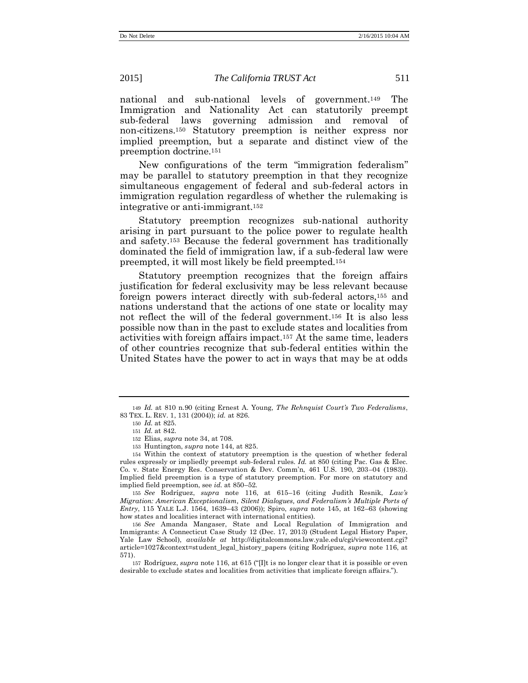national and sub-national levels of government.<sup>149</sup> The Immigration and Nationality Act can statutorily preempt sub-federal laws governing admission and removal of non-citizens.<sup>150</sup> Statutory preemption is neither express nor implied preemption, but a separate and distinct view of the preemption doctrine.<sup>151</sup>

New configurations of the term "immigration federalism" may be parallel to statutory preemption in that they recognize simultaneous engagement of federal and sub-federal actors in immigration regulation regardless of whether the rulemaking is integrative or anti-immigrant.<sup>152</sup>

Statutory preemption recognizes sub-national authority arising in part pursuant to the police power to regulate health and safety.<sup>153</sup> Because the federal government has traditionally dominated the field of immigration law, if a sub-federal law were preempted, it will most likely be field preempted.<sup>154</sup>

Statutory preemption recognizes that the foreign affairs justification for federal exclusivity may be less relevant because foreign powers interact directly with sub-federal actors,<sup>155</sup> and nations understand that the actions of one state or locality may not reflect the will of the federal government.<sup>156</sup> It is also less possible now than in the past to exclude states and localities from activities with foreign affairs impact.<sup>157</sup> At the same time, leaders of other countries recognize that sub-federal entities within the United States have the power to act in ways that may be at odds

155 *See* Rodríguez, *supra* note [116,](#page-24-0) at 615–16 (citing Judith Resnik, *Law's Migration: American Exceptionalism, Silent Dialogues, and Federalism's Multiple Ports of Entry*, 115 YALE L.J. 1564, 1639–43 (2006)); Spiro, *supra* note [145,](#page-30-1) at 162–63 (showing how states and localities interact with international entities).

156 *See* Amanda Mangaser, State and Local Regulation of Immigration and Immigrants: A Connecticut Case Study 12 (Dec. 17, 2013) (Student Legal History Paper, Yale Law School), *available at* http://digitalcommons.law.yale.edu/cgi/viewcontent.cgi? article=1027&context=student\_legal\_history\_papers (citing Rodríguez, *supra* note [116,](#page-24-0) at 571).

<sup>149</sup> *Id.* at 810 n.90 (citing Ernest A. Young, *The Rehnquist Court's Two Federalisms*, 83 TEX. L. REV. 1, 131 (2004)); *id.* at 826.

<sup>150</sup> *Id.* at 825.

<sup>151</sup> *Id.* at 842.

<sup>152</sup> Elias, *supra* note [34,](#page-9-2) at 708.

<sup>153</sup> Huntington, *supra* note [144,](#page-30-0) at 825.

<sup>154</sup> Within the context of statutory preemption is the question of whether federal rules expressly or impliedly preempt sub-federal rules. *Id.* at 850 (citing Pac. Gas & Elec. Co. v. State Energy Res. Conservation & Dev. Comm'n, 461 U.S. 190, 203–04 (1983)). Implied field preemption is a type of statutory preemption. For more on statutory and implied field preemption, see *id.* at 850–52.

<sup>157</sup> Rodríguez, *supra* note [116](#page-24-0), at 615 ("[I]t is no longer clear that it is possible or even desirable to exclude states and localities from activities that implicate foreign affairs.").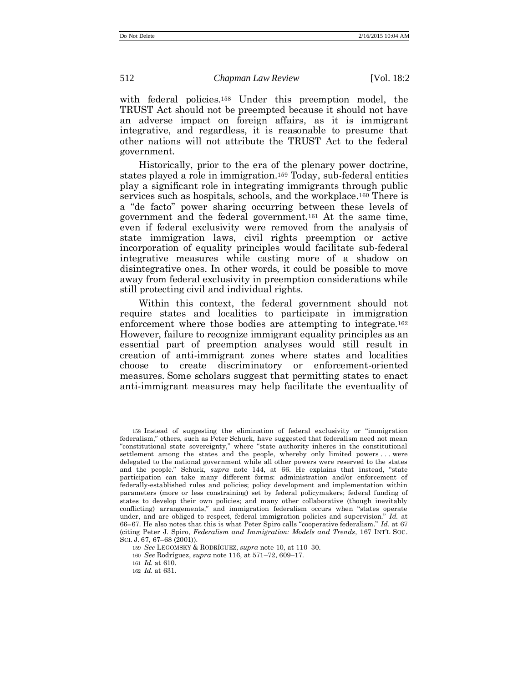with federal policies.<sup>158</sup> Under this preemption model, the TRUST Act should not be preempted because it should not have an adverse impact on foreign affairs, as it is immigrant integrative, and regardless, it is reasonable to presume that other nations will not attribute the TRUST Act to the federal government.

Historically, prior to the era of the plenary power doctrine, states played a role in immigration.<sup>159</sup> Today, sub-federal entities play a significant role in integrating immigrants through public services such as hospitals, schools, and the workplace.<sup>160</sup> There is a "de facto" power sharing occurring between these levels of government and the federal government.<sup>161</sup> At the same time, even if federal exclusivity were removed from the analysis of state immigration laws, civil rights preemption or active incorporation of equality principles would facilitate sub-federal integrative measures while casting more of a shadow on disintegrative ones. In other words, it could be possible to move away from federal exclusivity in preemption considerations while still protecting civil and individual rights.

Within this context, the federal government should not require states and localities to participate in immigration enforcement where those bodies are attempting to integrate.<sup>162</sup> However, failure to recognize immigrant equality principles as an essential part of preemption analyses would still result in creation of anti-immigrant zones where states and localities choose to create discriminatory or enforcement-oriented measures. Some scholars suggest that permitting states to enact anti-immigrant measures may help facilitate the eventuality of

<sup>158</sup> Instead of suggesting the elimination of federal exclusivity or "immigration federalism," others, such as Peter Schuck, have suggested that federalism need not mean "constitutional state sovereignty," where "state authority inheres in the constitutional settlement among the states and the people, whereby only limited powers . . . were delegated to the national government while all other powers were reserved to the states and the people." Schuck, *supra* note [144,](#page-30-0) at 66. He explains that instead, "state participation can take many different forms: administration and/or enforcement of federally-established rules and policies; policy development and implementation within parameters (more or less constraining) set by federal policymakers; federal funding of states to develop their own policies; and many other collaborative (though inevitably conflicting) arrangements," and immigration federalism occurs when "states operate under, and are obliged to respect, federal immigration policies and supervision." *Id.* at 66−67. He also notes that this is what Peter Spiro calls "cooperative federalism." *Id.* at 67 (citing Peter J. Spiro, *Federalism and Immigration: Models and Trends*, 167 INT'L SOC. SCI. J. 67, 67–68 (2001)).

<sup>159</sup> *See* LEGOMSKY & RODRÍGUEZ, *supra* note [10,](#page-4-1) at 110–30.

<sup>160</sup> *See* Rodríguez, *supra* note [116,](#page-24-0) at 571–72, 609–17.

<sup>161</sup> *Id.* at 610.

<sup>162</sup> *Id.* at 631.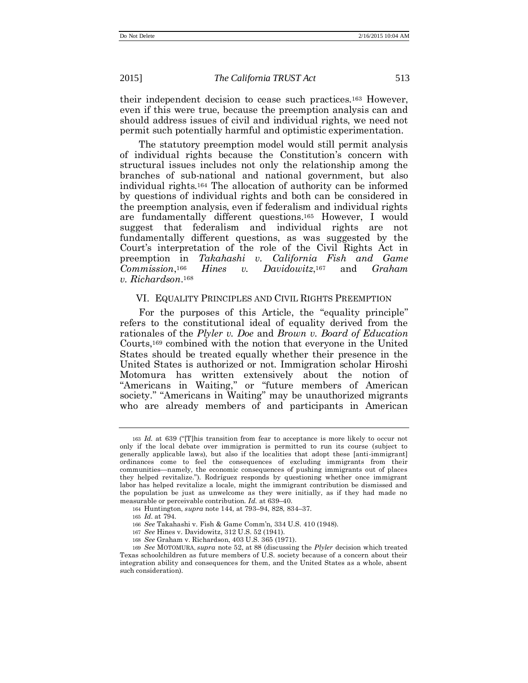their independent decision to cease such practices.<sup>163</sup> However, even if this were true, because the preemption analysis can and should address issues of civil and individual rights, we need not permit such potentially harmful and optimistic experimentation.

The statutory preemption model would still permit analysis of individual rights because the Constitution's concern with structural issues includes not only the relationship among the branches of sub-national and national government, but also individual rights.<sup>164</sup> The allocation of authority can be informed by questions of individual rights and both can be considered in the preemption analysis, even if federalism and individual rights are fundamentally different questions.<sup>165</sup> However, I would suggest that federalism and individual rights are not fundamentally different questions, as was suggested by the Court's interpretation of the role of the Civil Rights Act in preemption in *Takahashi v. California Fish and Game Commission*, *Hines v. Davidowitz*, 167 <sup>167</sup> and *Graham v. Richardson*. 168

#### VI. EQUALITY PRINCIPLES AND CIVIL RIGHTS PREEMPTION

For the purposes of this Article, the "equality principle" refers to the constitutional ideal of equality derived from the rationales of the *Plyler v. Doe* and *Brown v. Board of Education* Courts,<sup>169</sup> combined with the notion that everyone in the United States should be treated equally whether their presence in the United States is authorized or not. Immigration scholar Hiroshi Motomura has written extensively about the notion of "Americans in Waiting," or "future members of American society." "Americans in Waiting" may be unauthorized migrants who are already members of and participants in American

168 *See* Graham v. Richardson, 403 U.S. 365 (1971).

<sup>163</sup> *Id.* at 639 ("[T]his transition from fear to acceptance is more likely to occur not only if the local debate over immigration is permitted to run its course (subject to generally applicable laws), but also if the localities that adopt these [anti-immigrant] ordinances come to feel the consequences of excluding immigrants from their communities—namely, the economic consequences of pushing immigrants out of places they helped revitalize."). Rodríguez responds by questioning whether once immigrant labor has helped revitalize a locale, might the immigrant contribution be dismissed and the population be just as unwelcome as they were initially, as if they had made no measurable or perceivable contribution. *Id.* at 639–40.

<sup>164</sup> Huntington, *supra* note [144,](#page-30-0) at 793–94, 828, 834–37.

<sup>165</sup> *Id*. at 794.

<sup>166</sup> *See* Takahashi v. Fish & Game Comm'n, 334 U.S. 410 (1948).

<sup>167</sup> *See* Hines v. Davidowitz, 312 U.S. 52 (1941).

<sup>169</sup> *See* MOTOMURA, *supra* note [52,](#page-12-3) at 88 (discussing the *Plyler* decision which treated Texas schoolchildren as future members of U.S. society because of a concern about their integration ability and consequences for them, and the United States as a whole, absent such consideration).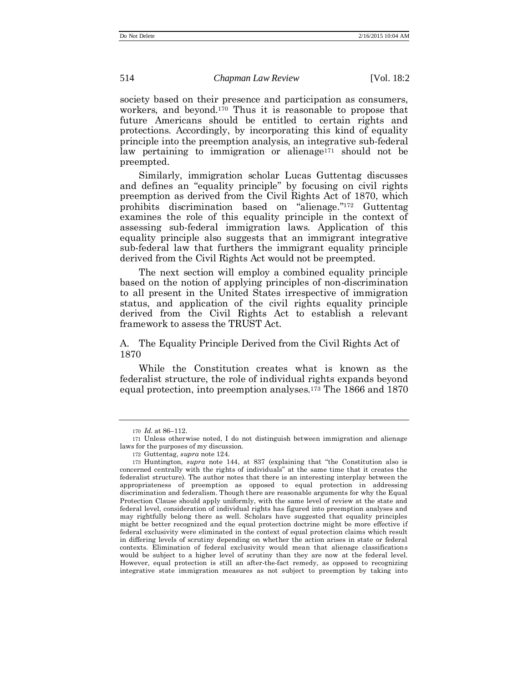society based on their presence and participation as consumers, workers, and beyond.<sup>170</sup> Thus it is reasonable to propose that future Americans should be entitled to certain rights and protections. Accordingly, by incorporating this kind of equality principle into the preemption analysis, an integrative sub-federal law pertaining to immigration or alienage<sup>171</sup> should not be preempted.

Similarly, immigration scholar Lucas Guttentag discusses and defines an "equality principle" by focusing on civil rights preemption as derived from the Civil Rights Act of 1870, which prohibits discrimination based on "alienage." <sup>172</sup> Guttentag examines the role of this equality principle in the context of assessing sub-federal immigration laws. Application of this equality principle also suggests that an immigrant integrative sub-federal law that furthers the immigrant equality principle derived from the Civil Rights Act would not be preempted.

The next section will employ a combined equality principle based on the notion of applying principles of non-discrimination to all present in the United States irrespective of immigration status, and application of the civil rights equality principle derived from the Civil Rights Act to establish a relevant framework to assess the TRUST Act.

A. The Equality Principle Derived from the Civil Rights Act of 1870

While the Constitution creates what is known as the federalist structure, the role of individual rights expands beyond equal protection, into preemption analyses.<sup>173</sup> The 1866 and 1870

<sup>170</sup> *Id.* at 86–112.

<sup>171</sup> Unless otherwise noted, I do not distinguish between immigration and alienage laws for the purposes of my discussion.

<sup>172</sup> Guttentag, *supra* note [124.](#page-26-0)

<sup>173</sup> Huntington, *supra* note [144](#page-30-0), at 837 (explaining that "the Constitution also is concerned centrally with the rights of individuals" at the same time that it creates the federalist structure). The author notes that there is an interesting interplay between the appropriateness of preemption as opposed to equal protection in addressing discrimination and federalism. Though there are reasonable arguments for why the Equal Protection Clause should apply uniformly, with the same level of review at the state and federal level, consideration of individual rights has figured into preemption analyses and may rightfully belong there as well. Scholars have suggested that equality principles might be better recognized and the equal protection doctrine might be more effective if federal exclusivity were eliminated in the context of equal protection claims which result in differing levels of scrutiny depending on whether the action arises in state or federal contexts. Elimination of federal exclusivity would mean that alienage classifications would be subject to a higher level of scrutiny than they are now at the federal level. However, equal protection is still an after-the-fact remedy, as opposed to recognizing integrative state immigration measures as not subject to preemption by taking into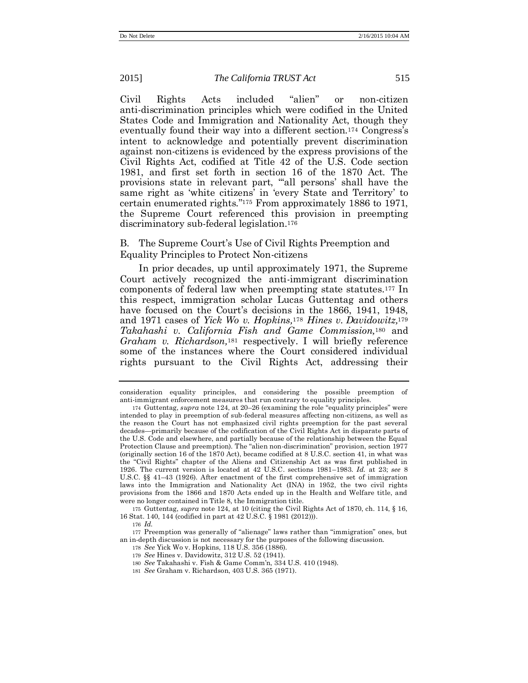Civil Rights Acts included "alien" or non-citizen anti-discrimination principles which were codified in the United States Code and Immigration and Nationality Act, though they eventually found their way into a different section.<sup>174</sup> Congress's intent to acknowledge and potentially prevent discrimination against non-citizens is evidenced by the express provisions of the Civil Rights Act, codified at Title 42 of the U.S. Code section 1981, and first set forth in section 16 of the 1870 Act. The provisions state in relevant part, "'all persons' shall have the same right as 'white citizens' in 'every State and Territory' to certain enumerated rights." <sup>175</sup> From approximately 1886 to 1971, the Supreme Court referenced this provision in preempting discriminatory sub-federal legislation.<sup>176</sup>

#### B. The Supreme Court's Use of Civil Rights Preemption and Equality Principles to Protect Non-citizens

In prior decades, up until approximately 1971, the Supreme Court actively recognized the anti-immigrant discrimination components of federal law when preempting state statutes.<sup>177</sup> In this respect, immigration scholar Lucas Guttentag and others have focused on the Court's decisions in the 1866, 1941, 1948, and 1971 cases of *Yick Wo v. Hopkins,*<sup>178</sup> *Hines v. Davidowitz,*<sup>179</sup> *Takahashi v. California Fish and Game Commission,*<sup>180</sup> and *Graham v. Richardson,*<sup>181</sup> respectively. I will briefly reference some of the instances where the Court considered individual rights pursuant to the Civil Rights Act, addressing their

175 Guttentag, *supra* not[e 124,](#page-26-0) at 10 (citing the Civil Rights Act of 1870, ch. 114, § 16, 16 Stat. 140, 144 (codified in part at 42 U.S.C. § 1981 (2012))).

consideration equality principles, and considering the possible preemption of anti-immigrant enforcement measures that run contrary to equality principles.

<sup>174</sup> Guttentag, *supra* note [124,](#page-26-0) at 20–26 (examining the role "equality principles" were intended to play in preemption of sub-federal measures affecting non-citizens, as well as the reason the Court has not emphasized civil rights preemption for the past several decades—primarily because of the codification of the Civil Rights Act in disparate parts of the U.S. Code and elsewhere, and partially because of the relationship between the Equal Protection Clause and preemption). The "alien non-discrimination" provision, section 1977 (originally section 16 of the 1870 Act), became codified at 8 U.S.C. section 41, in what was the "Civil Rights" chapter of the Aliens and Citizenship Act as was first published in 1926. The current version is located at 42 U.S.C. sections 1981–1983. *Id.* at 23; *see* 8 U.S.C. §§ 41–43 (1926). After enactment of the first comprehensive set of immigration laws into the Immigration and Nationality Act (INA) in 1952, the two civil rights provisions from the 1866 and 1870 Acts ended up in the Health and Welfare title, and were no longer contained in Title 8, the Immigration title.

<sup>176</sup> *Id.* 

<sup>177</sup> Preemption was generally of "alienage" laws rather than "immigration" ones, but an in-depth discussion is not necessary for the purposes of the following discussion.

<sup>178</sup> *See* Yick Wo v. Hopkins, 118 U.S. 356 (1886).

<sup>179</sup> *See* Hines v. Davidowitz, 312 U.S. 52 (1941).

<sup>180</sup> *See* Takahashi v. Fish & Game Comm'n, 334 U.S. 410 (1948).

<sup>181</sup> *See* Graham v. Richardson, 403 U.S. 365 (1971).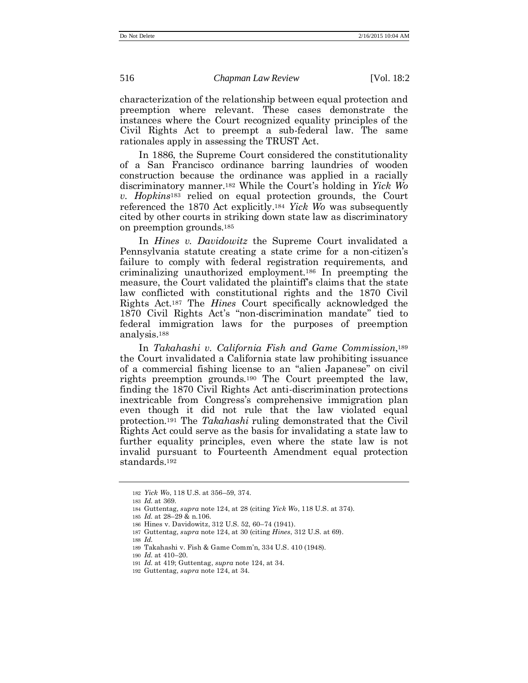characterization of the relationship between equal protection and preemption where relevant. These cases demonstrate the instances where the Court recognized equality principles of the Civil Rights Act to preempt a sub-federal law. The same rationales apply in assessing the TRUST Act.

In 1886, the Supreme Court considered the constitutionality of a San Francisco ordinance barring laundries of wooden construction because the ordinance was applied in a racially discriminatory manner.<sup>182</sup> While the Court's holding in *Yick Wo v. Hopkins*<sup>183</sup> relied on equal protection grounds, the Court referenced the 1870 Act explicitly.<sup>184</sup> *Yick Wo* was subsequently cited by other courts in striking down state law as discriminatory on preemption grounds.<sup>185</sup>

In *Hines v. Davidowitz* the Supreme Court invalidated a Pennsylvania statute creating a state crime for a non-citizen's failure to comply with federal registration requirements, and criminalizing unauthorized employment.<sup>186</sup> In preempting the measure, the Court validated the plaintiff's claims that the state law conflicted with constitutional rights and the 1870 Civil Rights Act.<sup>187</sup> The *Hines* Court specifically acknowledged the 1870 Civil Rights Act's "non-discrimination mandate" tied to federal immigration laws for the purposes of preemption analysis.<sup>188</sup>

In *Takahashi v. California Fish and Game Commission*, 189 the Court invalidated a California state law prohibiting issuance of a commercial fishing license to an "alien Japanese" on civil rights preemption grounds.<sup>190</sup> The Court preempted the law, finding the 1870 Civil Rights Act anti-discrimination protections inextricable from Congress's comprehensive immigration plan even though it did not rule that the law violated equal protection.<sup>191</sup> The *Takahashi* ruling demonstrated that the Civil Rights Act could serve as the basis for invalidating a state law to further equality principles, even where the state law is not invalid pursuant to Fourteenth Amendment equal protection standards.<sup>192</sup>

<sup>182</sup> *Yick Wo*, 118 U.S. at 356–59, 374.

<sup>183</sup> *Id.* at 369.

<sup>184</sup> Guttentag, *supra* note [124,](#page-26-0) at 28 (citing *Yick Wo*, 118 U.S. at 374).

<sup>185</sup> *Id.* at 28–29 & n.106.

<sup>186</sup> Hines v. Davidowitz, 312 U.S. 52, 60–74 (1941).

<sup>187</sup> Guttentag, *supra* note [124,](#page-26-0) at 30 (citing *Hines*, 312 U.S. at 69).

<sup>188</sup> *Id.*

<sup>189</sup> Takahashi v. Fish & Game Comm'n, 334 U.S. 410 (1948).

<sup>190</sup> *Id.* at 410–20.

<sup>191</sup> *Id.* at 419; Guttentag, *supra* note [124,](#page-26-0) at 34.

<sup>192</sup> Guttentag, *supra* note [124,](#page-26-0) at 34.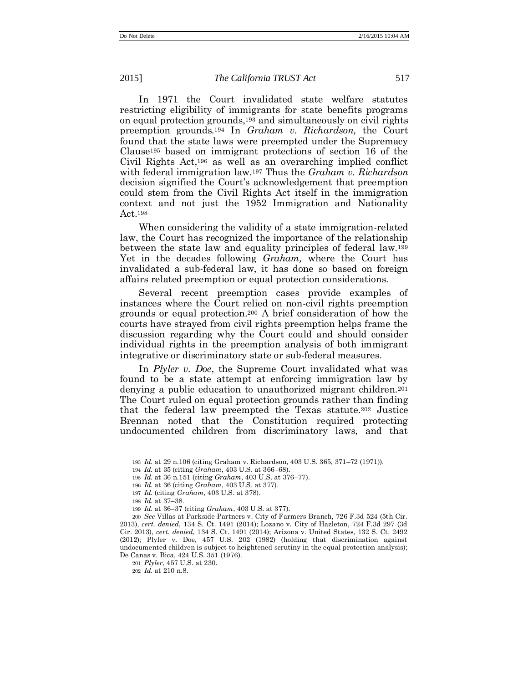In 1971 the Court invalidated state welfare statutes restricting eligibility of immigrants for state benefits programs on equal protection grounds,<sup>193</sup> and simultaneously on civil rights preemption grounds.<sup>194</sup> In *Graham v. Richardson,* the Court found that the state laws were preempted under the Supremacy Clause<sup>195</sup> based on immigrant protections of section 16 of the Civil Rights Act,<sup>196</sup> as well as an overarching implied conflict with federal immigration law.<sup>197</sup> Thus the *Graham v. Richardson*  decision signified the Court's acknowledgement that preemption could stem from the Civil Rights Act itself in the immigration context and not just the 1952 Immigration and Nationality Act.<sup>198</sup>

When considering the validity of a state immigration-related law, the Court has recognized the importance of the relationship between the state law and equality principles of federal law.<sup>199</sup> Yet in the decades following *Graham,* where the Court has invalidated a sub-federal law, it has done so based on foreign affairs related preemption or equal protection considerations.

Several recent preemption cases provide examples of instances where the Court relied on non-civil rights preemption grounds or equal protection.<sup>200</sup> A brief consideration of how the courts have strayed from civil rights preemption helps frame the discussion regarding why the Court could and should consider individual rights in the preemption analysis of both immigrant integrative or discriminatory state or sub-federal measures.

In *Plyler v. Doe*, the Supreme Court invalidated what was found to be a state attempt at enforcing immigration law by denying a public education to unauthorized migrant children.<sup>201</sup> The Court ruled on equal protection grounds rather than finding that the federal law preempted the Texas statute.<sup>202</sup> Justice Brennan noted that the Constitution required protecting undocumented children from discriminatory laws, and that

<sup>193</sup> *Id.* at 29 n.106 (citing Graham v. Richardson, 403 U.S. 365, 371–72 (1971)).

<sup>194</sup> *Id.* at 35 (citing *Graham*, 403 U.S. at 366–68).

<sup>195</sup> *Id.* at 36 n.151 (citing *Graham*, 403 U.S. at 376–77).

<sup>196</sup> *Id.* at 36 (citing *Graham*, 403 U.S. at 377).

<sup>197</sup> *Id.* (citing *Graham*, 403 U.S. at 378).

<sup>198</sup> *Id.* at 37–38.

<sup>199</sup> *Id.* at 36–37 (citing *Graham*, 403 U.S. at 377).

<sup>200</sup> *See* Villas at Parkside Partners v. City of Farmers Branch, 726 F.3d 524 (5th Cir. 2013), *cert. denied*, 134 S. Ct. 1491 (2014); Lozano v. City of Hazleton, 724 F.3d 297 (3d Cir. 2013), *cert. denied*, 134 S. Ct. 1491 (2014); Arizona v. United States, 132 S. Ct. 2492 (2012); Plyler v. Doe, 457 U.S. 202 (1982) (holding that discrimination against undocumented children is subject to heightened scrutiny in the equal protection analysis); De Canas v. Bica, 424 U.S. 351 (1976).

<sup>201</sup> *Plyler*, 457 U.S. at 230.

<sup>202</sup> *Id.* at 210 n.8.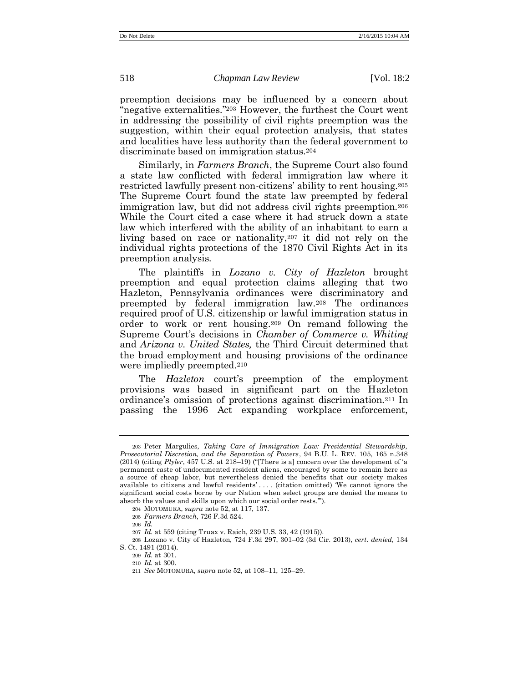preemption decisions may be influenced by a concern about "negative externalities." <sup>203</sup> However, the furthest the Court went in addressing the possibility of civil rights preemption was the suggestion, within their equal protection analysis, that states and localities have less authority than the federal government to discriminate based on immigration status.<sup>204</sup>

Similarly, in *Farmers Branch*, the Supreme Court also found a state law conflicted with federal immigration law where it restricted lawfully present non-citizens' ability to rent housing.<sup>205</sup> The Supreme Court found the state law preempted by federal immigration law, but did not address civil rights preemption.<sup>206</sup> While the Court cited a case where it had struck down a state law which interfered with the ability of an inhabitant to earn a living based on race or nationality,<sup>207</sup> it did not rely on the individual rights protections of the 1870 Civil Rights Act in its preemption analysis.

The plaintiffs in *Lozano v. City of Hazleton* brought preemption and equal protection claims alleging that two Hazleton, Pennsylvania ordinances were discriminatory and preempted by federal immigration law.<sup>208</sup> The ordinances required proof of U.S. citizenship or lawful immigration status in order to work or rent housing.<sup>209</sup> On remand following the Supreme Court's decisions in *Chamber of Commerce v. Whiting*  and *Arizona v. United States,* the Third Circuit determined that the broad employment and housing provisions of the ordinance were impliedly preempted.<sup>210</sup>

The *Hazleton* court's preemption of the employment provisions was based in significant part on the Hazleton ordinance's omission of protections against discrimination.<sup>211</sup> In passing the 1996 Act expanding workplace enforcement,

208 Lozano v. City of Hazleton, 724 F.3d 297, 301–02 (3d Cir. 2013), *cert. denied*, 134 S. Ct. 1491 (2014).

<sup>203</sup> Peter Margulies*, Taking Care of Immigration Law: Presidential Stewardship, Prosecutorial Discretion, and the Separation of Powers*, 94 B.U. L. REV. 105, 165 n.348 (2014) (citing *Plyler*, 457 U.S. at 218–19) ("[There is a] concern over the development of 'a permanent caste of undocumented resident aliens, encouraged by some to remain here as a source of cheap labor, but nevertheless denied the benefits that our society makes available to citizens and lawful residents' . . . . (citation omitted) 'We cannot ignore the significant social costs borne by our Nation when select groups are denied the means to absorb the values and skills upon which our social order rests.'").

<sup>204</sup> MOTOMURA, *supra* note [52,](#page-12-3) at 117, 137.

<sup>205</sup> *Farmers Branch*, 726 F.3d 524.

<sup>206</sup> *Id.*

<sup>207</sup> *Id.* at 559 (citing Truax v. Raich, 239 U.S. 33, 42 (1915)).

<sup>209</sup> *Id.* at 301.

<sup>210</sup> *Id.* at 300.

<sup>211</sup> *See* MOTOMURA, *supra* not[e 52,](#page-12-3) at 108–11, 125–29.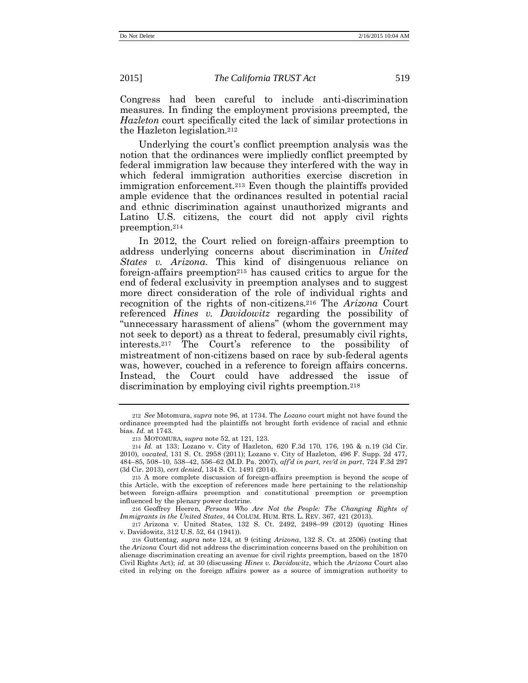Congress had been careful to include anti-discrimination measures. In finding the employment provisions preempted, the *Hazleton* court specifically cited the lack of similar protections in the Hazleton legislation.<sup>212</sup>

Underlying the court's conflict preemption analysis was the notion that the ordinances were impliedly conflict preempted by federal immigration law because they interfered with the way in which federal immigration authorities exercise discretion in immigration enforcement.<sup>213</sup> Even though the plaintiffs provided ample evidence that the ordinances resulted in potential racial and ethnic discrimination against unauthorized migrants and Latino U.S. citizens, the court did not apply civil rights preemption.<sup>214</sup>

In 2012, the Court relied on foreign-affairs preemption to address underlying concerns about discrimination in *United States v. Arizona*. This kind of disingenuous reliance on foreign-affairs preemption<sup>215</sup> has caused critics to argue for the end of federal exclusivity in preemption analyses and to suggest more direct consideration of the role of individual rights and recognition of the rights of non-citizens.<sup>216</sup> The *Arizona* Court referenced *Hines v. Davidowitz* regarding the possibility of "unnecessary harassment of aliens" (whom the government may not seek to deport) as a threat to federal, presumably civil rights, interests.<sup>217</sup> The Court's reference to the possibility of mistreatment of non-citizens based on race by sub-federal agents was, however, couched in a reference to foreign affairs concerns. Instead, the Court could have addressed the issue of discrimination by employing civil rights preemption.<sup>218</sup>

216 Geoffrey Heeren, *Persons Who Are Not the People: The Changing Rights of Immigrants in the United States*, 44 COLUM. HUM. RTS. L. REV. 367, 421 (2013).

217 Arizona v. United States, 132 S. Ct. 2492, 2498–99 (2012) (quoting Hines v. Davidowitz, 312 U.S. 52, 64 (1941)).

<sup>212</sup> *See* Motomura, *supra* not[e 96,](#page-20-0) at 1734. The *Lozano* court might not have found the ordinance preempted had the plaintiffs not brought forth evidence of racial and ethnic bias. *Id.* at 1743.

<sup>213</sup> MOTOMURA, *supra* note [52,](#page-12-3) at 121, 123.

<sup>214</sup> *Id.* at 133; Lozano v. City of Hazleton, 620 F.3d 170, 176, 195 & n.19 (3d Cir. 2010), *vacated*, 131 S. Ct. 2958 (2011); Lozano v. City of Hazleton, 496 F. Supp. 2d 477, 484–85, 508–10, 538–42, 556–62 (M.D. Pa. 2007), *aff'd in part, rev'd in part*, 724 F.3d 297 (3d Cir. 2013), *cert denied*, 134 S. Ct. 1491 (2014).

<sup>215</sup> A more complete discussion of foreign-affairs preemption is beyond the scope of this Article, with the exception of references made here pertaining to the relationship between foreign-affairs preemption and constitutional preemption or preemption influenced by the plenary power doctrine.

<sup>218</sup> Guttentag, *supra* note [124,](#page-26-0) at 9 (citing *Arizona*, 132 S. Ct. at 2506) (noting that the *Arizona* Court did not address the discrimination concerns based on the prohibition on alienage discrimination creating an avenue for civil rights preemption, based on the 1870 Civil Rights Act); *id.* at 30 (discussing *Hines v. Davidowitz*, which the *Arizona* Court also cited in relying on the foreign affairs power as a source of immigration authority to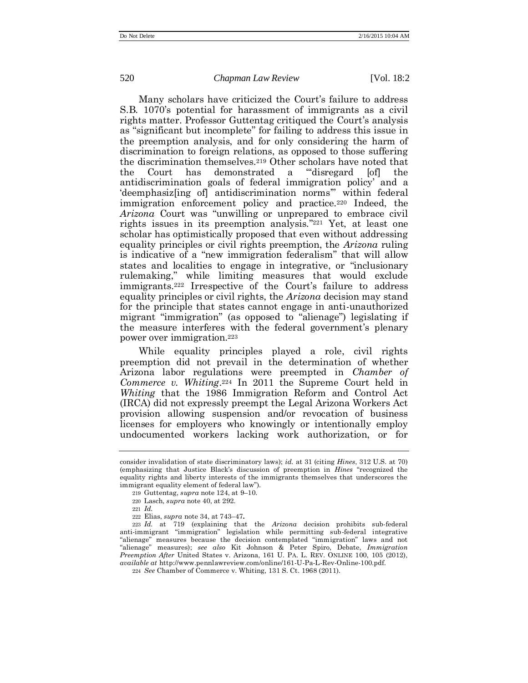Many scholars have criticized the Court's failure to address S.B. 1070's potential for harassment of immigrants as a civil rights matter. Professor Guttentag critiqued the Court's analysis as "significant but incomplete" for failing to address this issue in the preemption analysis, and for only considering the harm of discrimination to foreign relations, as opposed to those suffering the discrimination themselves.<sup>219</sup> Other scholars have noted that the Court has demonstrated a "'disregard [of] the antidiscrimination goals of federal immigration policy' and a 'deemphasiz[ing of] antidiscrimination norms'" within federal immigration enforcement policy and practice.<sup>220</sup> Indeed, the *Arizona* Court was "unwilling or unprepared to embrace civil rights issues in its preemption analysis." <sup>221</sup> Yet, at least one scholar has optimistically proposed that even without addressing equality principles or civil rights preemption, the *Arizona* ruling is indicative of a "new immigration federalism" that will allow states and localities to engage in integrative, or "inclusionary rulemaking," while limiting measures that would exclude immigrants.<sup>222</sup> Irrespective of the Court's failure to address equality principles or civil rights, the *Arizona* decision may stand for the principle that states cannot engage in anti-unauthorized migrant "immigration" (as opposed to "alienage") legislating if the measure interferes with the federal government's plenary power over immigration.<sup>223</sup>

While equality principles played a role, civil rights preemption did not prevail in the determination of whether Arizona labor regulations were preempted in *Chamber of Commerce v. Whiting*. <sup>224</sup> In 2011 the Supreme Court held in *Whiting* that the 1986 Immigration Reform and Control Act (IRCA) did not expressly preempt the Legal Arizona Workers Act provision allowing suspension and/or revocation of business licenses for employers who knowingly or intentionally employ undocumented workers lacking work authorization, or for

consider invalidation of state discriminatory laws); *id.* at 31 (citing *Hines*, 312 U.S. at 70) (emphasizing that Justice Black's discussion of preemption in *Hines* "recognized the equality rights and liberty interests of the immigrants themselves that underscores the immigrant equality element of federal law").

<sup>219</sup> Guttentag, *supra* note [124,](#page-26-0) at 9–10.

<sup>220</sup> Lasch, *supra* note [40,](#page-10-0) at 292.

<sup>221</sup> *Id.*

<sup>222</sup> Elias, *supra* note [34,](#page-9-2) at 743–47**.**

<sup>223</sup> *Id.* at 719 (explaining that the *Arizona* decision prohibits sub-federal anti-immigrant "immigration" legislation while permitting sub-federal integrative "alienage" measures because the decision contemplated "immigration" laws and not "alienage" measures); *see also* Kit Johnson & Peter Spiro, Debate, *Immigration Preemption After* United States v. Arizona, 161 U. PA. L. REV. ONLINE 100, 105 (2012), *available at* http://www.pennlawreview.com/online/161-U-Pa-L-Rev-Online-100.pdf.

<sup>224</sup> *See* Chamber of Commerce v. Whiting, 131 S. Ct. 1968 (2011).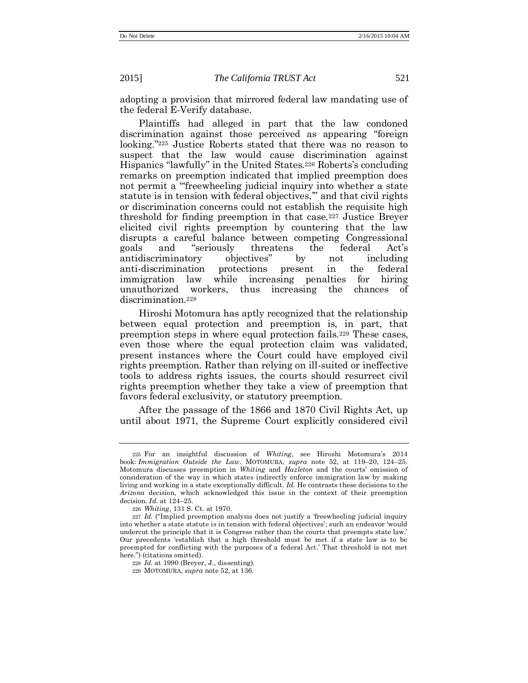adopting a provision that mirrored federal law mandating use of the federal E-Verify database.

Plaintiffs had alleged in part that the law condoned discrimination against those perceived as appearing "foreign looking."<sup>225</sup> Justice Roberts stated that there was no reason to suspect that the law would cause discrimination against Hispanics "lawfully" in the United States.<sup>226</sup> Roberts's concluding remarks on preemption indicated that implied preemption does not permit a "'freewheeling judicial inquiry into whether a state statute is in tension with federal objectives,'" and that civil rights or discrimination concerns could not establish the requisite high threshold for finding preemption in that case.<sup>227</sup> Justice Breyer elicited civil rights preemption by countering that the law disrupts a careful balance between competing Congressional goals and "seriously threatens the federal Act's antidiscriminatory objectives" by not including anti-discrimination protections present in the federal immigration law while increasing penalties for hiring unauthorized workers, thus increasing the chances of discrimination.<sup>228</sup>

Hiroshi Motomura has aptly recognized that the relationship between equal protection and preemption is, in part, that preemption steps in where equal protection fails.<sup>229</sup> These cases, even those where the equal protection claim was validated, present instances where the Court could have employed civil rights preemption. Rather than relying on ill-suited or ineffective tools to address rights issues, the courts should resurrect civil rights preemption whether they take a view of preemption that favors federal exclusivity, or statutory preemption.

After the passage of the 1866 and 1870 Civil Rights Act, up until about 1971, the Supreme Court explicitly considered civil

<sup>225</sup> For an insightful discussion of *Whiting*, see Hiroshi Motomura's 2014 book: *Immigration Outside the Law*. MOTOMURA, *supra* note [52,](#page-12-3) at 119–20, 124–25. Motomura discusses preemption in *Whiting* and *Hazleton* and the courts' omission of consideration of the way in which states indirectly enforce immigration law by making living and working in a state exceptionally difficult*. Id.* He contrasts these decisions to the *Arizona* decision, which acknowledged this issue in the context of their preemption decision. *Id.* at 124–25.

<sup>226</sup> *Whiting*, 131 S. Ct. at 1970.

<sup>227</sup> *Id.* ("Implied preemption analysis does not justify a 'freewheeling judicial inquiry into whether a state statute is in tension with federal objectives'; such an endeavor 'would undercut the principle that it is Congress rather than the courts that preempts state law.' Our precedents 'establish that a high threshold must be met if a state law is to be preempted for conflicting with the purposes of a federal Act.' That threshold is not met here.") (citations omitted).

<sup>228</sup> *Id.* at 1990 (Breyer, J., dissenting).

<sup>229</sup> MOTOMURA, *supra* note [52,](#page-12-3) at 136.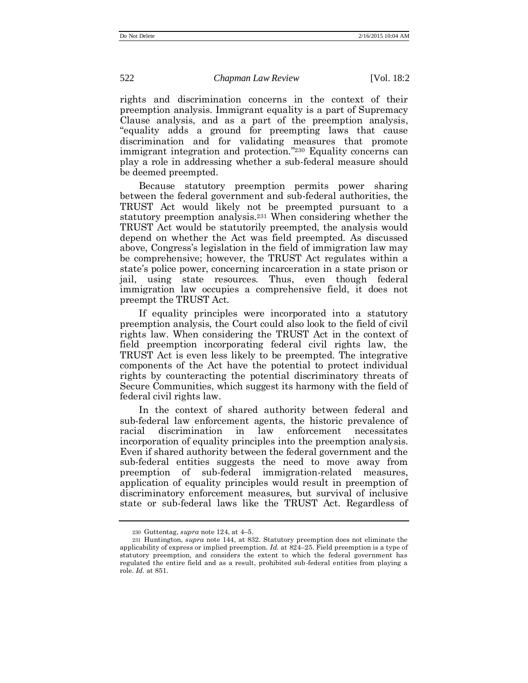rights and discrimination concerns in the context of their preemption analysis. Immigrant equality is a part of Supremacy Clause analysis, and as a part of the preemption analysis, "equality adds a ground for preempting laws that cause discrimination and for validating measures that promote immigrant integration and protection." <sup>230</sup> Equality concerns can play a role in addressing whether a sub-federal measure should be deemed preempted.

Because statutory preemption permits power sharing between the federal government and sub-federal authorities, the TRUST Act would likely not be preempted pursuant to a statutory preemption analysis.<sup>231</sup> When considering whether the TRUST Act would be statutorily preempted, the analysis would depend on whether the Act was field preempted. As discussed above, Congress's legislation in the field of immigration law may be comprehensive; however, the TRUST Act regulates within a state's police power, concerning incarceration in a state prison or jail, using state resources. Thus, even though federal immigration law occupies a comprehensive field, it does not preempt the TRUST Act.

If equality principles were incorporated into a statutory preemption analysis, the Court could also look to the field of civil rights law. When considering the TRUST Act in the context of field preemption incorporating federal civil rights law, the TRUST Act is even less likely to be preempted. The integrative components of the Act have the potential to protect individual rights by counteracting the potential discriminatory threats of Secure Communities, which suggest its harmony with the field of federal civil rights law.

In the context of shared authority between federal and sub-federal law enforcement agents, the historic prevalence of racial discrimination in law enforcement necessitates incorporation of equality principles into the preemption analysis. Even if shared authority between the federal government and the sub-federal entities suggests the need to move away from preemption of sub-federal immigration-related measures, application of equality principles would result in preemption of discriminatory enforcement measures, but survival of inclusive state or sub-federal laws like the TRUST Act. Regardless of

<sup>230</sup> Guttentag, *supra* note [124,](#page-26-0) at 4–5.

<sup>231</sup> Huntington, *supra* note [144,](#page-30-0) at 832. Statutory preemption does not eliminate the applicability of express or implied preemption. *Id.* at 824–25. Field preemption is a type of statutory preemption, and considers the extent to which the federal government has regulated the entire field and as a result, prohibited sub-federal entities from playing a role. *Id.* at 851.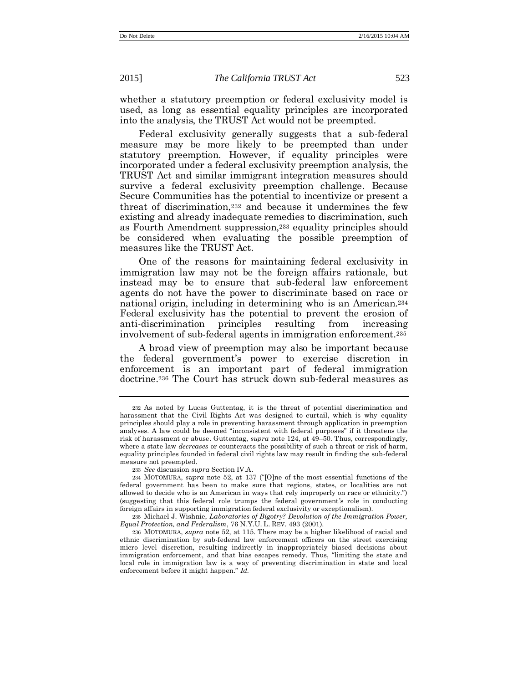whether a statutory preemption or federal exclusivity model is used, as long as essential equality principles are incorporated into the analysis, the TRUST Act would not be preempted.

Federal exclusivity generally suggests that a sub-federal measure may be more likely to be preempted than under statutory preemption. However, if equality principles were incorporated under a federal exclusivity preemption analysis, the TRUST Act and similar immigrant integration measures should survive a federal exclusivity preemption challenge. Because Secure Communities has the potential to incentivize or present a threat of discrimination,<sup>232</sup> and because it undermines the few existing and already inadequate remedies to discrimination, such as Fourth Amendment suppression,<sup>233</sup> equality principles should be considered when evaluating the possible preemption of measures like the TRUST Act.

One of the reasons for maintaining federal exclusivity in immigration law may not be the foreign affairs rationale, but instead may be to ensure that sub-federal law enforcement agents do not have the power to discriminate based on race or national origin, including in determining who is an American.<sup>234</sup> Federal exclusivity has the potential to prevent the erosion of anti-discrimination principles resulting from increasing involvement of sub-federal agents in immigration enforcement.<sup>235</sup>

A broad view of preemption may also be important because the federal government's power to exercise discretion in enforcement is an important part of federal immigration doctrine.<sup>236</sup> The Court has struck down sub-federal measures as

235 Michael J. Wishnie, *Laboratories of Bigotry? Devolution of the Immigration Power, Equal Protection, and Federalism*, 76 N.Y.U. L. REV. 493 (2001).

<sup>232</sup> As noted by Lucas Guttentag, it is the threat of potential discrimination and harassment that the Civil Rights Act was designed to curtail, which is why equality principles should play a role in preventing harassment through application in preemption analyses. A law could be deemed "inconsistent with federal purposes" if it threatens the risk of harassment or abuse. Guttentag, *supra* note [124,](#page-26-0) at 49–50. Thus, correspondingly, where a state law *decreases* or counteracts the possibility of such a threat or risk of harm, equality principles founded in federal civil rights law may result in finding the sub-federal measure not preempted.

<sup>233</sup> *See* discussion *supra* Section IV.A.

<sup>234</sup> MOTOMURA, *supra* note [52](#page-12-3), at 137 ("[O]ne of the most essential functions of the federal government has been to make sure that regions, states, or localities are not allowed to decide who is an American in ways that rely improperly on race or ethnicity.") (suggesting that this federal role trumps the federal government's role in conducting foreign affairs in supporting immigration federal exclusivity or exceptionalism).

<sup>236</sup> MOTOMURA, *supra* note [52,](#page-12-3) at 115. There may be a higher likelihood of racial and ethnic discrimination by sub-federal law enforcement officers on the street exercising micro level discretion, resulting indirectly in inappropriately biased decisions about immigration enforcement, and that bias escapes remedy. Thus, "limiting the state and local role in immigration law is a way of preventing discrimination in state and local enforcement before it might happen." *Id.*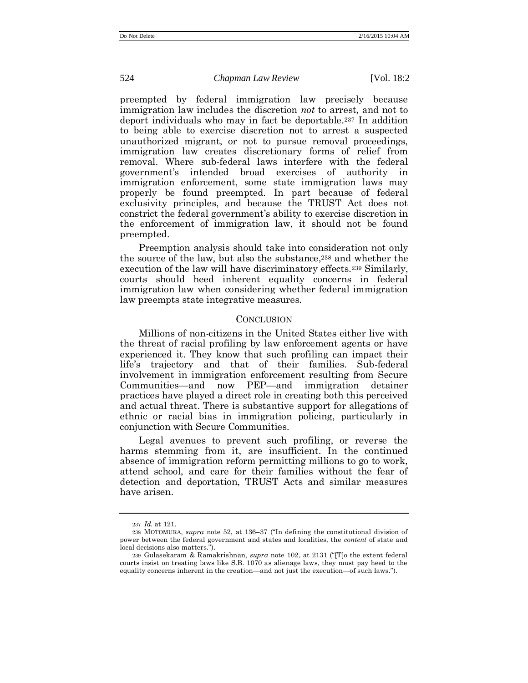preempted by federal immigration law precisely because immigration law includes the discretion *not* to arrest, and not to deport individuals who may in fact be deportable.<sup>237</sup> In addition to being able to exercise discretion not to arrest a suspected unauthorized migrant, or not to pursue removal proceedings, immigration law creates discretionary forms of relief from removal. Where sub-federal laws interfere with the federal government's intended broad exercises of authority in immigration enforcement, some state immigration laws may properly be found preempted. In part because of federal exclusivity principles, and because the TRUST Act does not constrict the federal government's ability to exercise discretion in the enforcement of immigration law, it should not be found preempted.

Preemption analysis should take into consideration not only the source of the law, but also the substance,<sup>238</sup> and whether the execution of the law will have discriminatory effects.<sup>239</sup> Similarly, courts should heed inherent equality concerns in federal immigration law when considering whether federal immigration law preempts state integrative measures.

#### **CONCLUSION**

Millions of non-citizens in the United States either live with the threat of racial profiling by law enforcement agents or have experienced it. They know that such profiling can impact their life's trajectory and that of their families. Sub-federal involvement in immigration enforcement resulting from Secure Communities—and now PEP—and immigration detainer practices have played a direct role in creating both this perceived and actual threat. There is substantive support for allegations of ethnic or racial bias in immigration policing, particularly in conjunction with Secure Communities.

Legal avenues to prevent such profiling, or reverse the harms stemming from it, are insufficient. In the continued absence of immigration reform permitting millions to go to work, attend school, and care for their families without the fear of detection and deportation, TRUST Acts and similar measures have arisen.

<sup>237</sup> *Id.* at 121.

<sup>238</sup> MOTOMURA, *supra* note [52,](#page-12-3) at 136–37 ("In defining the constitutional division of power between the federal government and states and localities, the *content* of state and local decisions also matters.").

<sup>239</sup> Gulasekaram & Ramakrishnan, *supra* note [102](#page-22-0), at 2131 ("[T]o the extent federal courts insist on treating laws like S.B. 1070 as alienage laws, they must pay heed to the equality concerns inherent in the creation—and not just the execution—of such laws.").